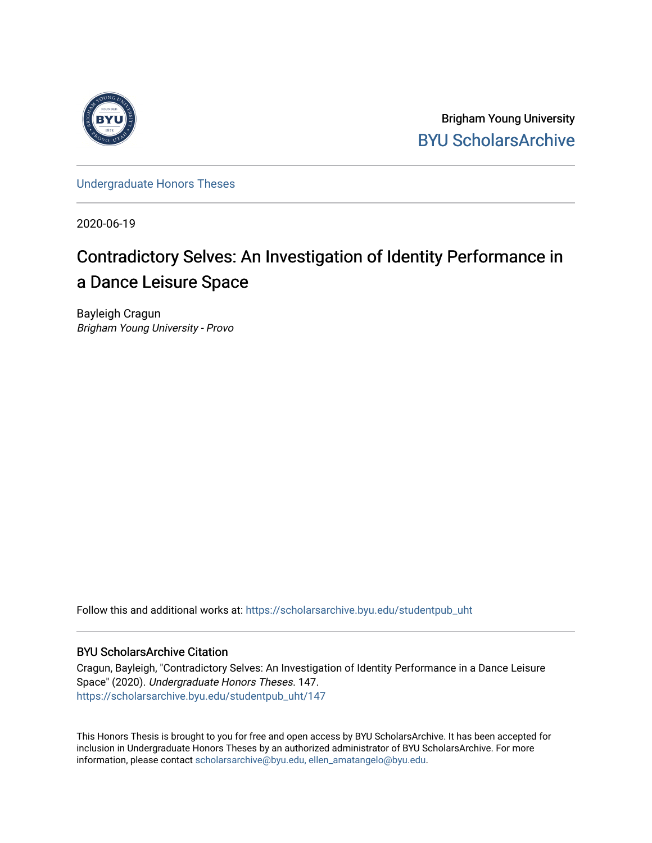

Brigham Young University [BYU ScholarsArchive](https://scholarsarchive.byu.edu/) 

[Undergraduate Honors Theses](https://scholarsarchive.byu.edu/studentpub_uht) 

2020-06-19

# Contradictory Selves: An Investigation of Identity Performance in a Dance Leisure Space

Bayleigh Cragun Brigham Young University - Provo

Follow this and additional works at: [https://scholarsarchive.byu.edu/studentpub\\_uht](https://scholarsarchive.byu.edu/studentpub_uht?utm_source=scholarsarchive.byu.edu%2Fstudentpub_uht%2F147&utm_medium=PDF&utm_campaign=PDFCoverPages) 

## BYU ScholarsArchive Citation

Cragun, Bayleigh, "Contradictory Selves: An Investigation of Identity Performance in a Dance Leisure Space" (2020). Undergraduate Honors Theses. 147. [https://scholarsarchive.byu.edu/studentpub\\_uht/147](https://scholarsarchive.byu.edu/studentpub_uht/147?utm_source=scholarsarchive.byu.edu%2Fstudentpub_uht%2F147&utm_medium=PDF&utm_campaign=PDFCoverPages)

This Honors Thesis is brought to you for free and open access by BYU ScholarsArchive. It has been accepted for inclusion in Undergraduate Honors Theses by an authorized administrator of BYU ScholarsArchive. For more information, please contact [scholarsarchive@byu.edu, ellen\\_amatangelo@byu.edu.](mailto:scholarsarchive@byu.edu,%20ellen_amatangelo@byu.edu)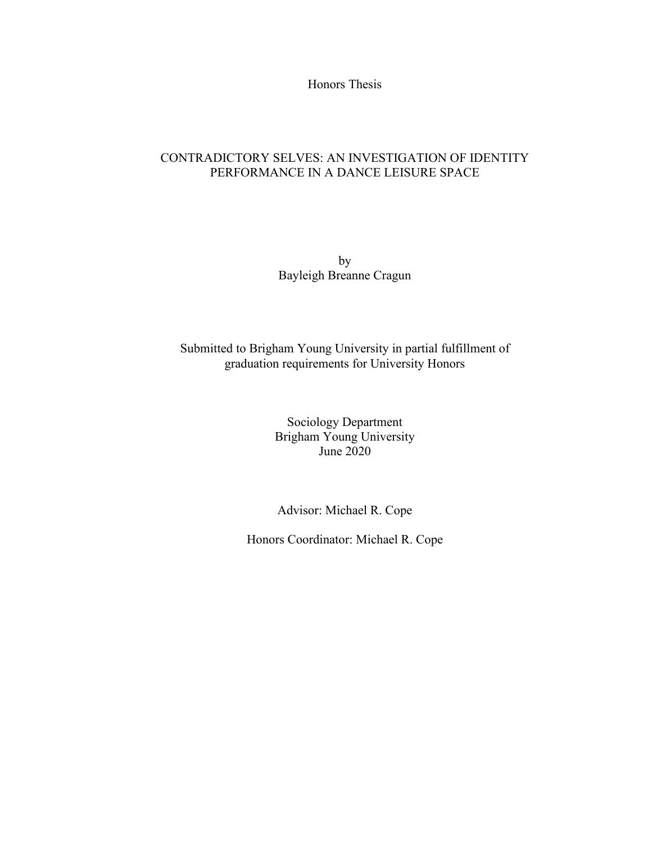Honors Thesis

# CONTRADICTORY SELVES: AN INVESTIGATION OF IDENTITY PERFORMANCE IN A DANCE LEISURE SPACE

by Bayleigh Breanne Cragun

# Submitted to Brigham Young University in partial fulfillment of graduation requirements for University Honors

Sociology Department Brigham Young University June 2020

Advisor: Michael R. Cope

Honors Coordinator: Michael R. Cope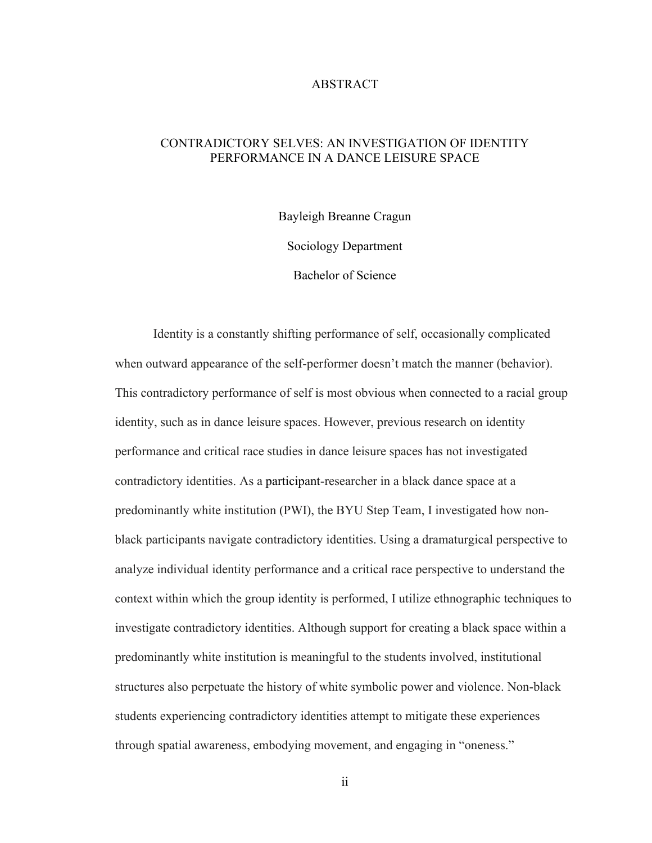#### ABSTRACT

# CONTRADICTORY SELVES: AN INVESTIGATION OF IDENTITY PERFORMANCE IN A DANCE LEISURE SPACE

Bayleigh Breanne Cragun

Sociology Department

Bachelor of Science

Identity is a constantly shifting performance of self, occasionally complicated when outward appearance of the self-performer doesn't match the manner (behavior). This contradictory performance of self is most obvious when connected to a racial group identity, such as in dance leisure spaces. However, previous research on identity performance and critical race studies in dance leisure spaces has not investigated contradictory identities. As a participant-researcher in a black dance space at a predominantly white institution (PWI), the BYU Step Team, I investigated how nonblack participants navigate contradictory identities. Using a dramaturgical perspective to analyze individual identity performance and a critical race perspective to understand the context within which the group identity is performed, I utilize ethnographic techniques to investigate contradictory identities. Although support for creating a black space within a predominantly white institution is meaningful to the students involved, institutional structures also perpetuate the history of white symbolic power and violence. Non-black students experiencing contradictory identities attempt to mitigate these experiences through spatial awareness, embodying movement, and engaging in "oneness."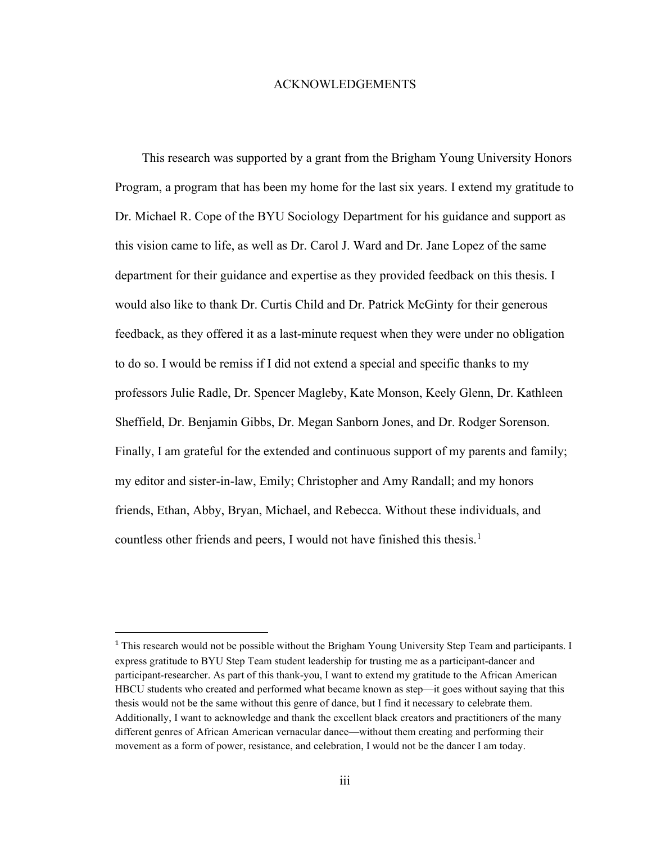#### ACKNOWLEDGEMENTS

 This research was supported by a grant from the Brigham Young University Honors Program, a program that has been my home for the last six years. I extend my gratitude to Dr. Michael R. Cope of the BYU Sociology Department for his guidance and support as this vision came to life, as well as Dr. Carol J. Ward and Dr. Jane Lopez of the same department for their guidance and expertise as they provided feedback on this thesis. I would also like to thank Dr. Curtis Child and Dr. Patrick McGinty for their generous feedback, as they offered it as a last-minute request when they were under no obligation to do so. I would be remiss if I did not extend a special and specific thanks to my professors Julie Radle, Dr. Spencer Magleby, Kate Monson, Keely Glenn, Dr. Kathleen Sheffield, Dr. Benjamin Gibbs, Dr. Megan Sanborn Jones, and Dr. Rodger Sorenson. Finally, I am grateful for the extended and continuous support of my parents and family; my editor and sister-in-law, Emily; Christopher and Amy Randall; and my honors friends, Ethan, Abby, Bryan, Michael, and Rebecca. Without these individuals, and countless other friends and peers, I would not have finished this thesis.<sup>[1](#page-5-0)</sup>

<span id="page-5-0"></span><sup>&</sup>lt;sup>1</sup> This research would not be possible without the Brigham Young University Step Team and participants. I express gratitude to BYU Step Team student leadership for trusting me as a participant-dancer and participant-researcher. As part of this thank-you, I want to extend my gratitude to the African American HBCU students who created and performed what became known as step—it goes without saying that this thesis would not be the same without this genre of dance, but I find it necessary to celebrate them. Additionally, I want to acknowledge and thank the excellent black creators and practitioners of the many different genres of African American vernacular dance—without them creating and performing their movement as a form of power, resistance, and celebration, I would not be the dancer I am today.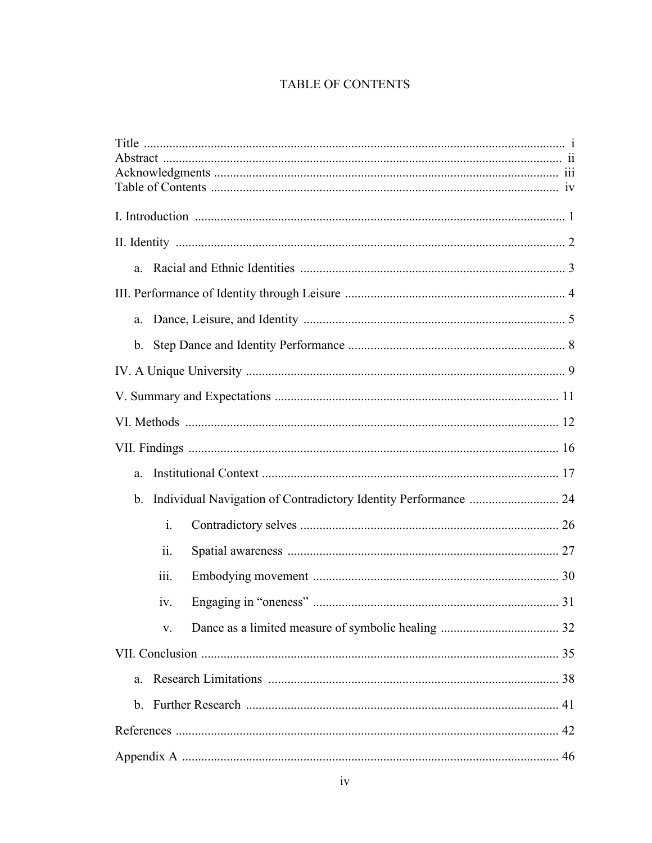# TABLE OF CONTENTS

| a.                                                                    |
|-----------------------------------------------------------------------|
|                                                                       |
| a.                                                                    |
|                                                                       |
|                                                                       |
|                                                                       |
|                                                                       |
|                                                                       |
| a.                                                                    |
| Individual Navigation of Contradictory Identity Performance  24<br>b. |
| $\mathbf{i}$ .                                                        |
| ii.                                                                   |
| 111.                                                                  |
| iv.                                                                   |
| V.                                                                    |
|                                                                       |
| a.                                                                    |
|                                                                       |
|                                                                       |
|                                                                       |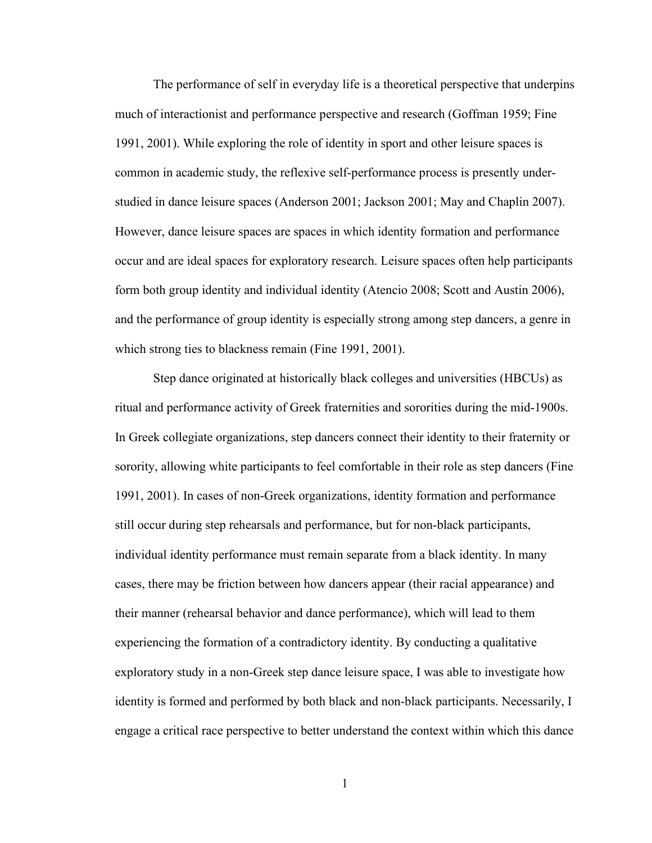The performance of self in everyday life is a theoretical perspective that underpins much of interactionist and performance perspective and research (Goffman 1959; Fine 1991, 2001). While exploring the role of identity in sport and other leisure spaces is common in academic study, the reflexive self-performance process is presently understudied in dance leisure spaces (Anderson 2001; Jackson 2001; May and Chaplin 2007). However, dance leisure spaces are spaces in which identity formation and performance occur and are ideal spaces for exploratory research. Leisure spaces often help participants form both group identity and individual identity (Atencio 2008; Scott and Austin 2006), and the performance of group identity is especially strong among step dancers, a genre in which strong ties to blackness remain (Fine 1991, 2001).

Step dance originated at historically black colleges and universities (HBCUs) as ritual and performance activity of Greek fraternities and sororities during the mid-1900s. In Greek collegiate organizations, step dancers connect their identity to their fraternity or sorority, allowing white participants to feel comfortable in their role as step dancers (Fine 1991, 2001). In cases of non-Greek organizations, identity formation and performance still occur during step rehearsals and performance, but for non-black participants, individual identity performance must remain separate from a black identity. In many cases, there may be friction between how dancers appear (their racial appearance) and their manner (rehearsal behavior and dance performance), which will lead to them experiencing the formation of a contradictory identity. By conducting a qualitative exploratory study in a non-Greek step dance leisure space, I was able to investigate how identity is formed and performed by both black and non-black participants. Necessarily, I engage a critical race perspective to better understand the context within which this dance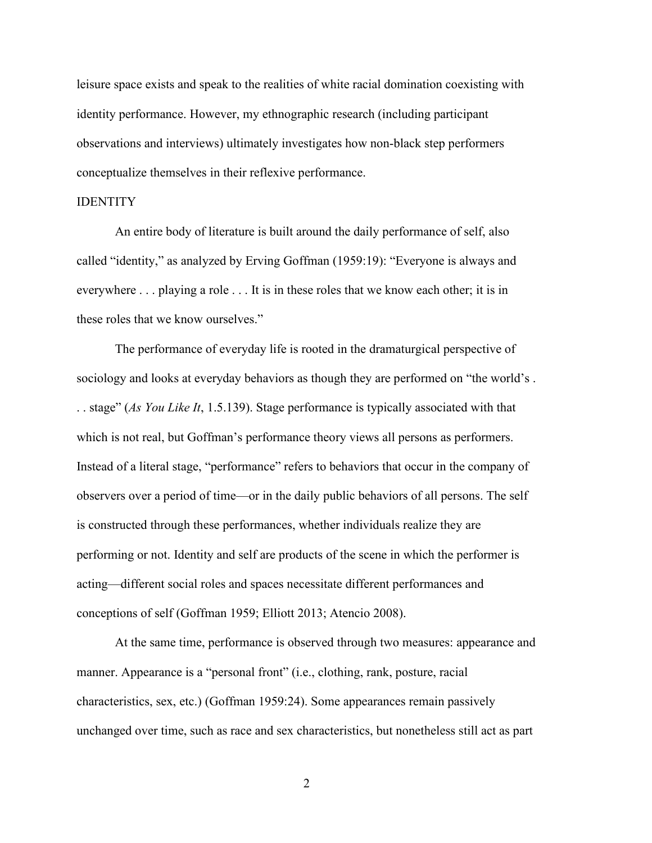leisure space exists and speak to the realities of white racial domination coexisting with identity performance. However, my ethnographic research (including participant observations and interviews) ultimately investigates how non-black step performers conceptualize themselves in their reflexive performance.

#### IDENTITY

An entire body of literature is built around the daily performance of self, also called "identity," as analyzed by Erving Goffman (1959:19): "Everyone is always and everywhere . . . playing a role . . . It is in these roles that we know each other; it is in these roles that we know ourselves."

The performance of everyday life is rooted in the dramaturgical perspective of sociology and looks at everyday behaviors as though they are performed on "the world's . . . stage" (*As You Like It*, 1.5.139). Stage performance is typically associated with that which is not real, but Goffman's performance theory views all persons as performers. Instead of a literal stage, "performance" refers to behaviors that occur in the company of observers over a period of time—or in the daily public behaviors of all persons. The self is constructed through these performances, whether individuals realize they are performing or not. Identity and self are products of the scene in which the performer is acting—different social roles and spaces necessitate different performances and conceptions of self (Goffman 1959; Elliott 2013; Atencio 2008).

At the same time, performance is observed through two measures: appearance and manner. Appearance is a "personal front" (i.e., clothing, rank, posture, racial characteristics, sex, etc.) (Goffman 1959:24). Some appearances remain passively unchanged over time, such as race and sex characteristics, but nonetheless still act as part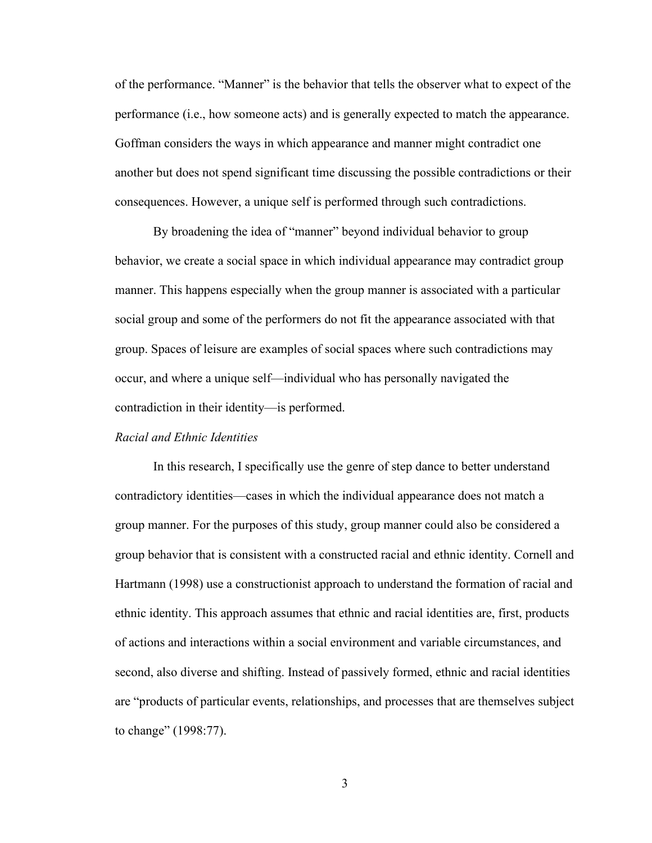of the performance. "Manner" is the behavior that tells the observer what to expect of the performance (i.e., how someone acts) and is generally expected to match the appearance. Goffman considers the ways in which appearance and manner might contradict one another but does not spend significant time discussing the possible contradictions or their consequences. However, a unique self is performed through such contradictions.

By broadening the idea of "manner" beyond individual behavior to group behavior, we create a social space in which individual appearance may contradict group manner. This happens especially when the group manner is associated with a particular social group and some of the performers do not fit the appearance associated with that group. Spaces of leisure are examples of social spaces where such contradictions may occur, and where a unique self—individual who has personally navigated the contradiction in their identity—is performed.

#### *Racial and Ethnic Identities*

In this research, I specifically use the genre of step dance to better understand contradictory identities—cases in which the individual appearance does not match a group manner. For the purposes of this study, group manner could also be considered a group behavior that is consistent with a constructed racial and ethnic identity. Cornell and Hartmann (1998) use a constructionist approach to understand the formation of racial and ethnic identity. This approach assumes that ethnic and racial identities are, first, products of actions and interactions within a social environment and variable circumstances, and second, also diverse and shifting. Instead of passively formed, ethnic and racial identities are "products of particular events, relationships, and processes that are themselves subject to change" (1998:77).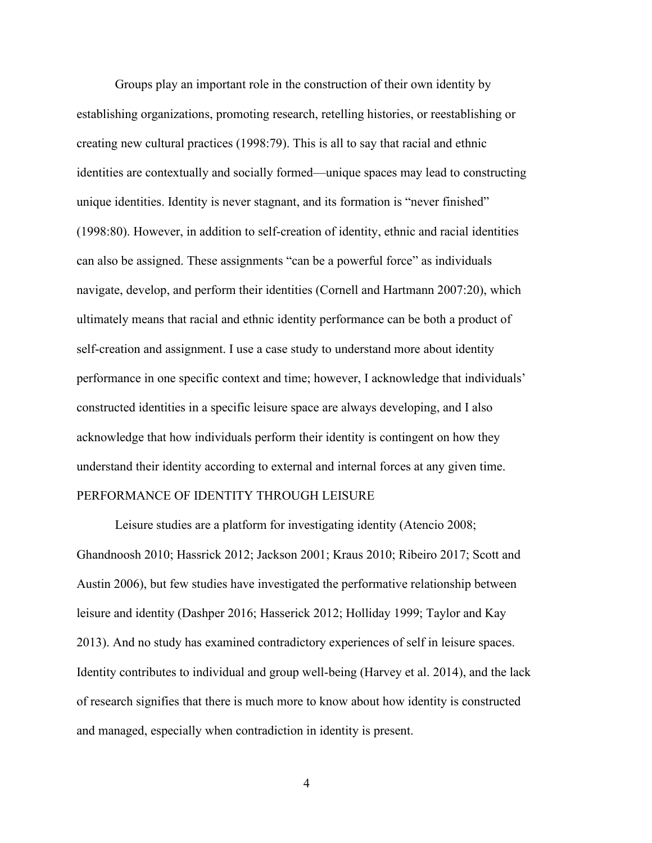Groups play an important role in the construction of their own identity by establishing organizations, promoting research, retelling histories, or reestablishing or creating new cultural practices (1998:79). This is all to say that racial and ethnic identities are contextually and socially formed—unique spaces may lead to constructing unique identities. Identity is never stagnant, and its formation is "never finished" (1998:80). However, in addition to self-creation of identity, ethnic and racial identities can also be assigned. These assignments "can be a powerful force" as individuals navigate, develop, and perform their identities (Cornell and Hartmann 2007:20), which ultimately means that racial and ethnic identity performance can be both a product of self-creation and assignment. I use a case study to understand more about identity performance in one specific context and time; however, I acknowledge that individuals' constructed identities in a specific leisure space are always developing, and I also acknowledge that how individuals perform their identity is contingent on how they understand their identity according to external and internal forces at any given time. PERFORMANCE OF IDENTITY THROUGH LEISURE

Leisure studies are a platform for investigating identity (Atencio 2008; Ghandnoosh 2010; Hassrick 2012; Jackson 2001; Kraus 2010; Ribeiro 2017; Scott and Austin 2006), but few studies have investigated the performative relationship between leisure and identity (Dashper 2016; Hasserick 2012; Holliday 1999; Taylor and Kay 2013). And no study has examined contradictory experiences of self in leisure spaces. Identity contributes to individual and group well-being (Harvey et al. 2014), and the lack of research signifies that there is much more to know about how identity is constructed and managed, especially when contradiction in identity is present.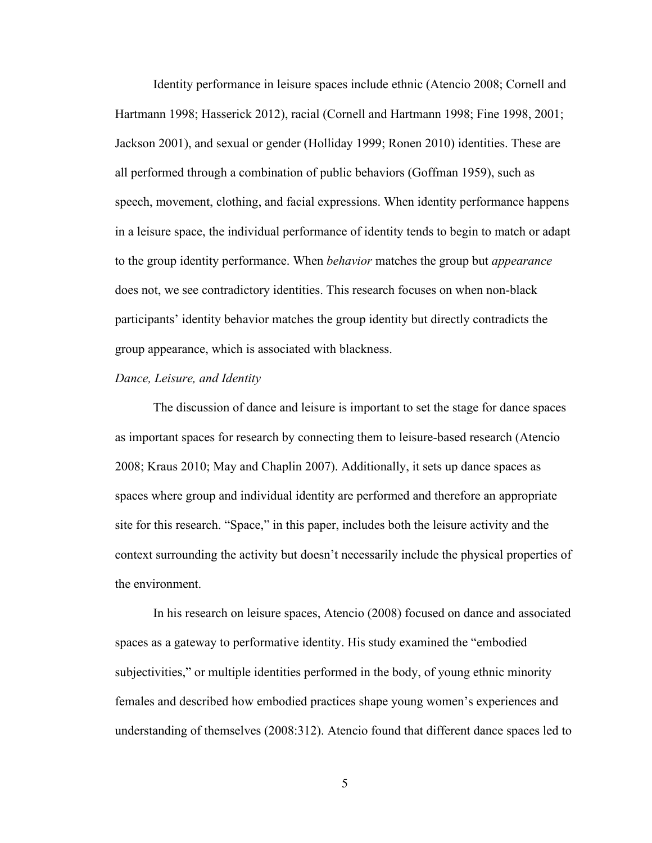Identity performance in leisure spaces include ethnic (Atencio 2008; Cornell and Hartmann 1998; Hasserick 2012), racial (Cornell and Hartmann 1998; Fine 1998, 2001; Jackson 2001), and sexual or gender (Holliday 1999; Ronen 2010) identities. These are all performed through a combination of public behaviors (Goffman 1959), such as speech, movement, clothing, and facial expressions. When identity performance happens in a leisure space, the individual performance of identity tends to begin to match or adapt to the group identity performance. When *behavior* matches the group but *appearance*  does not, we see contradictory identities. This research focuses on when non-black participants' identity behavior matches the group identity but directly contradicts the group appearance, which is associated with blackness.

#### *Dance, Leisure, and Identity*

The discussion of dance and leisure is important to set the stage for dance spaces as important spaces for research by connecting them to leisure-based research (Atencio 2008; Kraus 2010; May and Chaplin 2007). Additionally, it sets up dance spaces as spaces where group and individual identity are performed and therefore an appropriate site for this research. "Space," in this paper, includes both the leisure activity and the context surrounding the activity but doesn't necessarily include the physical properties of the environment.

In his research on leisure spaces, Atencio (2008) focused on dance and associated spaces as a gateway to performative identity. His study examined the "embodied subjectivities," or multiple identities performed in the body, of young ethnic minority females and described how embodied practices shape young women's experiences and understanding of themselves (2008:312). Atencio found that different dance spaces led to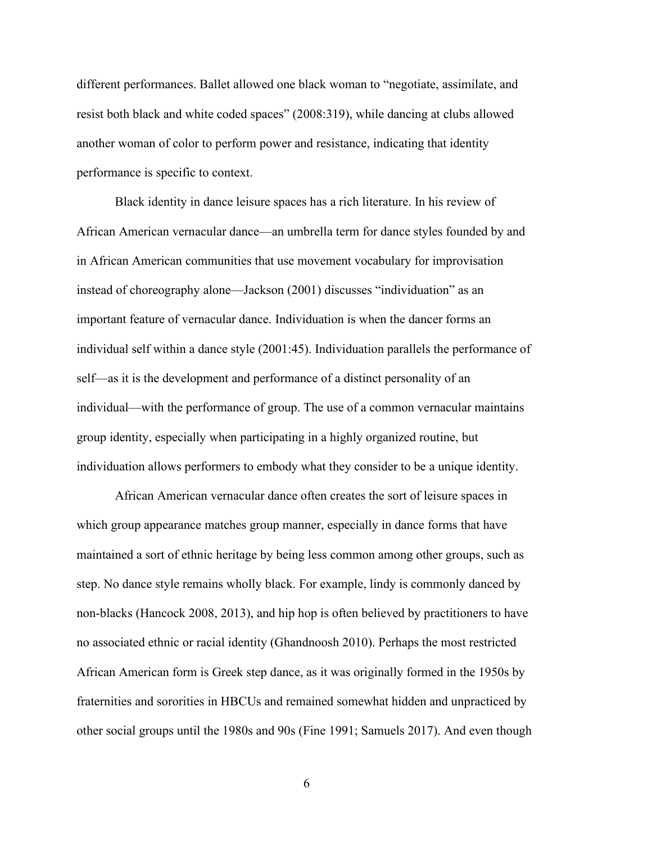different performances. Ballet allowed one black woman to "negotiate, assimilate, and resist both black and white coded spaces" (2008:319), while dancing at clubs allowed another woman of color to perform power and resistance, indicating that identity performance is specific to context.

Black identity in dance leisure spaces has a rich literature. In his review of African American vernacular dance—an umbrella term for dance styles founded by and in African American communities that use movement vocabulary for improvisation instead of choreography alone—Jackson (2001) discusses "individuation" as an important feature of vernacular dance. Individuation is when the dancer forms an individual self within a dance style (2001:45). Individuation parallels the performance of self—as it is the development and performance of a distinct personality of an individual—with the performance of group. The use of a common vernacular maintains group identity, especially when participating in a highly organized routine, but individuation allows performers to embody what they consider to be a unique identity.

African American vernacular dance often creates the sort of leisure spaces in which group appearance matches group manner, especially in dance forms that have maintained a sort of ethnic heritage by being less common among other groups, such as step. No dance style remains wholly black. For example, lindy is commonly danced by non-blacks (Hancock 2008, 2013), and hip hop is often believed by practitioners to have no associated ethnic or racial identity (Ghandnoosh 2010). Perhaps the most restricted African American form is Greek step dance, as it was originally formed in the 1950s by fraternities and sororities in HBCUs and remained somewhat hidden and unpracticed by other social groups until the 1980s and 90s (Fine 1991; Samuels 2017). And even though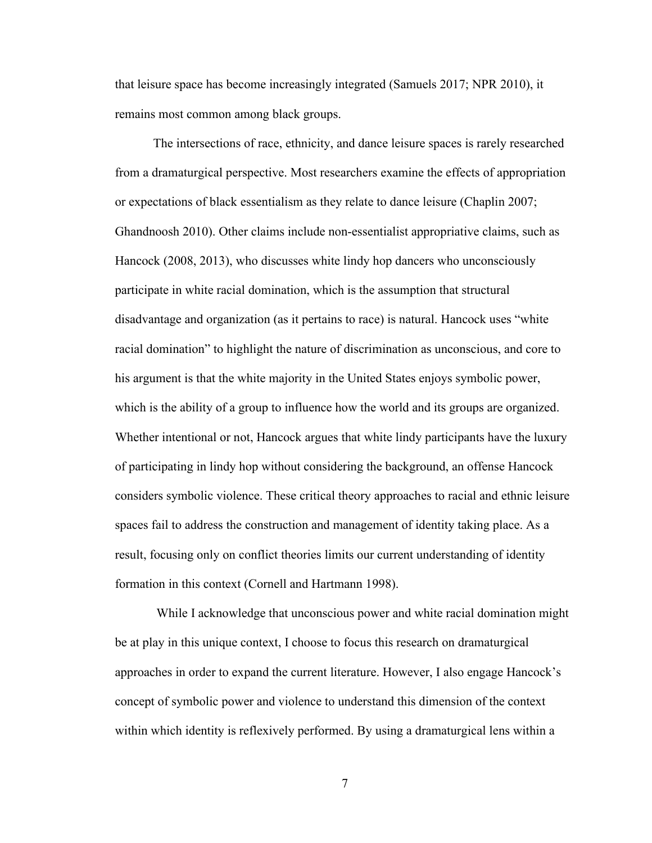that leisure space has become increasingly integrated (Samuels 2017; NPR 2010), it remains most common among black groups.

The intersections of race, ethnicity, and dance leisure spaces is rarely researched from a dramaturgical perspective. Most researchers examine the effects of appropriation or expectations of black essentialism as they relate to dance leisure (Chaplin 2007; Ghandnoosh 2010). Other claims include non-essentialist appropriative claims, such as Hancock (2008, 2013), who discusses white lindy hop dancers who unconsciously participate in white racial domination, which is the assumption that structural disadvantage and organization (as it pertains to race) is natural. Hancock uses "white racial domination" to highlight the nature of discrimination as unconscious, and core to his argument is that the white majority in the United States enjoys symbolic power, which is the ability of a group to influence how the world and its groups are organized. Whether intentional or not, Hancock argues that white lindy participants have the luxury of participating in lindy hop without considering the background, an offense Hancock considers symbolic violence. These critical theory approaches to racial and ethnic leisure spaces fail to address the construction and management of identity taking place. As a result, focusing only on conflict theories limits our current understanding of identity formation in this context (Cornell and Hartmann 1998).

 While I acknowledge that unconscious power and white racial domination might be at play in this unique context, I choose to focus this research on dramaturgical approaches in order to expand the current literature. However, I also engage Hancock's concept of symbolic power and violence to understand this dimension of the context within which identity is reflexively performed. By using a dramaturgical lens within a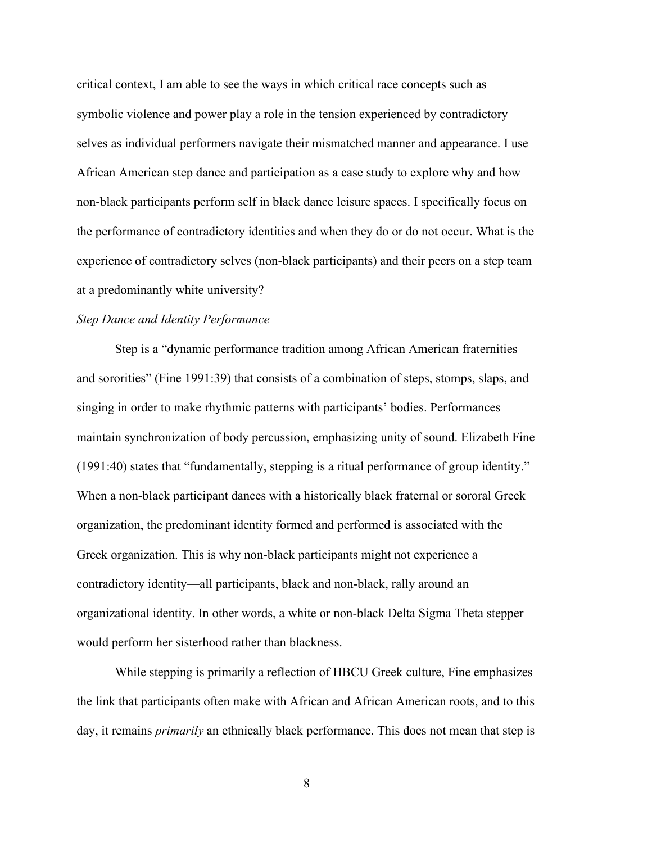critical context, I am able to see the ways in which critical race concepts such as symbolic violence and power play a role in the tension experienced by contradictory selves as individual performers navigate their mismatched manner and appearance. I use African American step dance and participation as a case study to explore why and how non-black participants perform self in black dance leisure spaces. I specifically focus on the performance of contradictory identities and when they do or do not occur. What is the experience of contradictory selves (non-black participants) and their peers on a step team at a predominantly white university?

#### *Step Dance and Identity Performance*

Step is a "dynamic performance tradition among African American fraternities and sororities" (Fine 1991:39) that consists of a combination of steps, stomps, slaps, and singing in order to make rhythmic patterns with participants' bodies. Performances maintain synchronization of body percussion, emphasizing unity of sound. Elizabeth Fine (1991:40) states that "fundamentally, stepping is a ritual performance of group identity." When a non-black participant dances with a historically black fraternal or sororal Greek organization, the predominant identity formed and performed is associated with the Greek organization. This is why non-black participants might not experience a contradictory identity—all participants, black and non-black, rally around an organizational identity. In other words, a white or non-black Delta Sigma Theta stepper would perform her sisterhood rather than blackness.

While stepping is primarily a reflection of HBCU Greek culture, Fine emphasizes the link that participants often make with African and African American roots, and to this day, it remains *primarily* an ethnically black performance. This does not mean that step is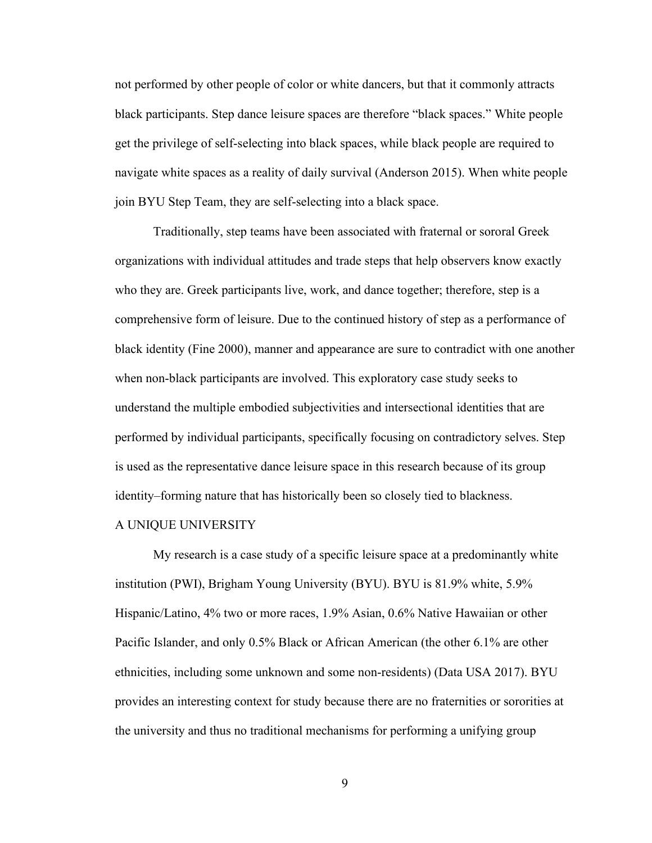not performed by other people of color or white dancers, but that it commonly attracts black participants. Step dance leisure spaces are therefore "black spaces." White people get the privilege of self-selecting into black spaces, while black people are required to navigate white spaces as a reality of daily survival (Anderson 2015). When white people join BYU Step Team, they are self-selecting into a black space.

Traditionally, step teams have been associated with fraternal or sororal Greek organizations with individual attitudes and trade steps that help observers know exactly who they are. Greek participants live, work, and dance together; therefore, step is a comprehensive form of leisure. Due to the continued history of step as a performance of black identity (Fine 2000), manner and appearance are sure to contradict with one another when non-black participants are involved. This exploratory case study seeks to understand the multiple embodied subjectivities and intersectional identities that are performed by individual participants, specifically focusing on contradictory selves. Step is used as the representative dance leisure space in this research because of its group identity–forming nature that has historically been so closely tied to blackness.

#### A UNIQUE UNIVERSITY

My research is a case study of a specific leisure space at a predominantly white institution (PWI), Brigham Young University (BYU). BYU is 81.9% white, 5.9% Hispanic/Latino, 4% two or more races, 1.9% Asian, 0.6% Native Hawaiian or other Pacific Islander, and only 0.5% Black or African American (the other 6.1% are other ethnicities, including some unknown and some non-residents) (Data USA 2017). BYU provides an interesting context for study because there are no fraternities or sororities at the university and thus no traditional mechanisms for performing a unifying group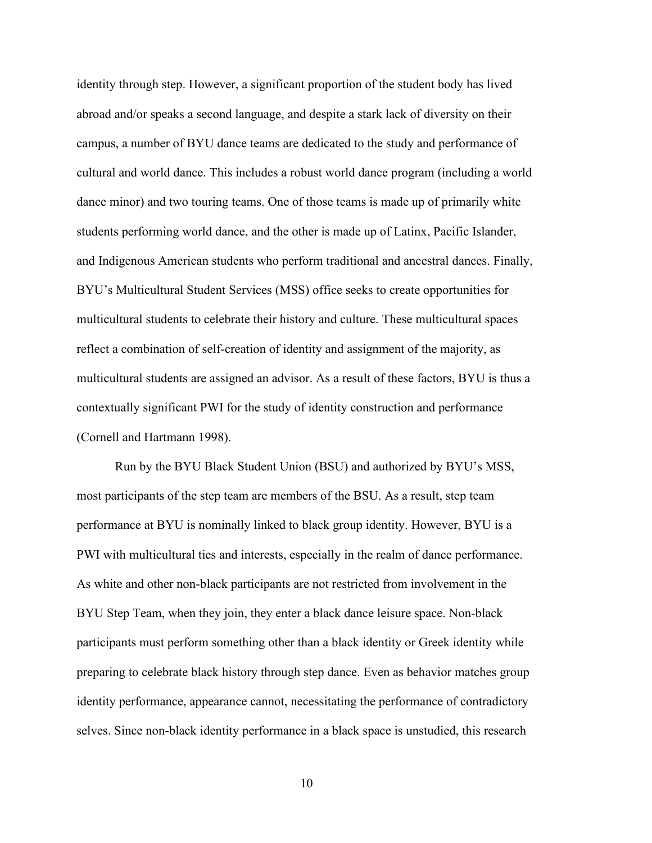identity through step. However, a significant proportion of the student body has lived abroad and/or speaks a second language, and despite a stark lack of diversity on their campus, a number of BYU dance teams are dedicated to the study and performance of cultural and world dance. This includes a robust world dance program (including a world dance minor) and two touring teams. One of those teams is made up of primarily white students performing world dance, and the other is made up of Latinx, Pacific Islander, and Indigenous American students who perform traditional and ancestral dances. Finally, BYU's Multicultural Student Services (MSS) office seeks to create opportunities for multicultural students to celebrate their history and culture. These multicultural spaces reflect a combination of self-creation of identity and assignment of the majority, as multicultural students are assigned an advisor. As a result of these factors, BYU is thus a contextually significant PWI for the study of identity construction and performance (Cornell and Hartmann 1998).

Run by the BYU Black Student Union (BSU) and authorized by BYU's MSS, most participants of the step team are members of the BSU. As a result, step team performance at BYU is nominally linked to black group identity. However, BYU is a PWI with multicultural ties and interests, especially in the realm of dance performance. As white and other non-black participants are not restricted from involvement in the BYU Step Team, when they join, they enter a black dance leisure space. Non-black participants must perform something other than a black identity or Greek identity while preparing to celebrate black history through step dance. Even as behavior matches group identity performance, appearance cannot, necessitating the performance of contradictory selves. Since non-black identity performance in a black space is unstudied, this research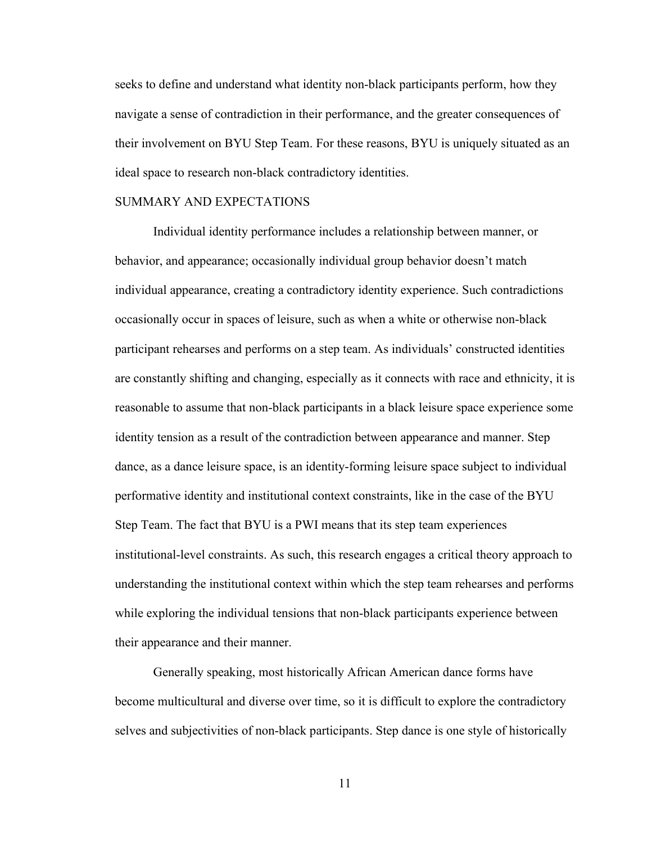seeks to define and understand what identity non-black participants perform, how they navigate a sense of contradiction in their performance, and the greater consequences of their involvement on BYU Step Team. For these reasons, BYU is uniquely situated as an ideal space to research non-black contradictory identities.

#### SUMMARY AND EXPECTATIONS

Individual identity performance includes a relationship between manner, or behavior, and appearance; occasionally individual group behavior doesn't match individual appearance, creating a contradictory identity experience. Such contradictions occasionally occur in spaces of leisure, such as when a white or otherwise non-black participant rehearses and performs on a step team. As individuals' constructed identities are constantly shifting and changing, especially as it connects with race and ethnicity, it is reasonable to assume that non-black participants in a black leisure space experience some identity tension as a result of the contradiction between appearance and manner. Step dance, as a dance leisure space, is an identity-forming leisure space subject to individual performative identity and institutional context constraints, like in the case of the BYU Step Team. The fact that BYU is a PWI means that its step team experiences institutional-level constraints. As such, this research engages a critical theory approach to understanding the institutional context within which the step team rehearses and performs while exploring the individual tensions that non-black participants experience between their appearance and their manner.

Generally speaking, most historically African American dance forms have become multicultural and diverse over time, so it is difficult to explore the contradictory selves and subjectivities of non-black participants. Step dance is one style of historically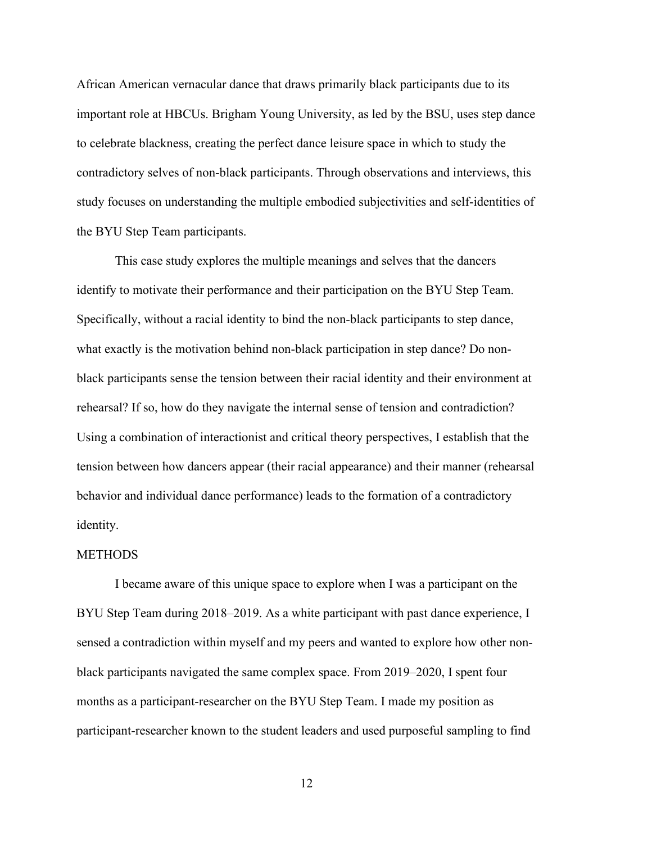African American vernacular dance that draws primarily black participants due to its important role at HBCUs. Brigham Young University, as led by the BSU, uses step dance to celebrate blackness, creating the perfect dance leisure space in which to study the contradictory selves of non-black participants. Through observations and interviews, this study focuses on understanding the multiple embodied subjectivities and self-identities of the BYU Step Team participants.

This case study explores the multiple meanings and selves that the dancers identify to motivate their performance and their participation on the BYU Step Team. Specifically, without a racial identity to bind the non-black participants to step dance, what exactly is the motivation behind non-black participation in step dance? Do nonblack participants sense the tension between their racial identity and their environment at rehearsal? If so, how do they navigate the internal sense of tension and contradiction? Using a combination of interactionist and critical theory perspectives, I establish that the tension between how dancers appear (their racial appearance) and their manner (rehearsal behavior and individual dance performance) leads to the formation of a contradictory identity.

#### **METHODS**

I became aware of this unique space to explore when I was a participant on the BYU Step Team during 2018–2019. As a white participant with past dance experience, I sensed a contradiction within myself and my peers and wanted to explore how other nonblack participants navigated the same complex space. From 2019–2020, I spent four months as a participant-researcher on the BYU Step Team. I made my position as participant-researcher known to the student leaders and used purposeful sampling to find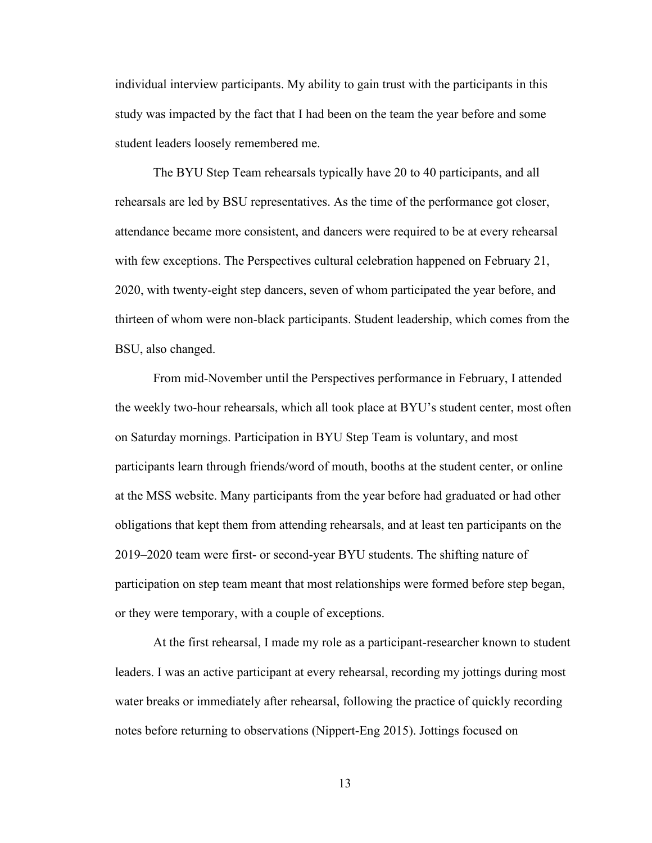individual interview participants. My ability to gain trust with the participants in this study was impacted by the fact that I had been on the team the year before and some student leaders loosely remembered me.

The BYU Step Team rehearsals typically have 20 to 40 participants, and all rehearsals are led by BSU representatives. As the time of the performance got closer, attendance became more consistent, and dancers were required to be at every rehearsal with few exceptions. The Perspectives cultural celebration happened on February 21, 2020, with twenty-eight step dancers, seven of whom participated the year before, and thirteen of whom were non-black participants. Student leadership, which comes from the BSU, also changed.

From mid-November until the Perspectives performance in February, I attended the weekly two-hour rehearsals, which all took place at BYU's student center, most often on Saturday mornings. Participation in BYU Step Team is voluntary, and most participants learn through friends/word of mouth, booths at the student center, or online at the MSS website. Many participants from the year before had graduated or had other obligations that kept them from attending rehearsals, and at least ten participants on the 2019–2020 team were first- or second-year BYU students. The shifting nature of participation on step team meant that most relationships were formed before step began, or they were temporary, with a couple of exceptions.

At the first rehearsal, I made my role as a participant-researcher known to student leaders. I was an active participant at every rehearsal, recording my jottings during most water breaks or immediately after rehearsal, following the practice of quickly recording notes before returning to observations (Nippert-Eng 2015). Jottings focused on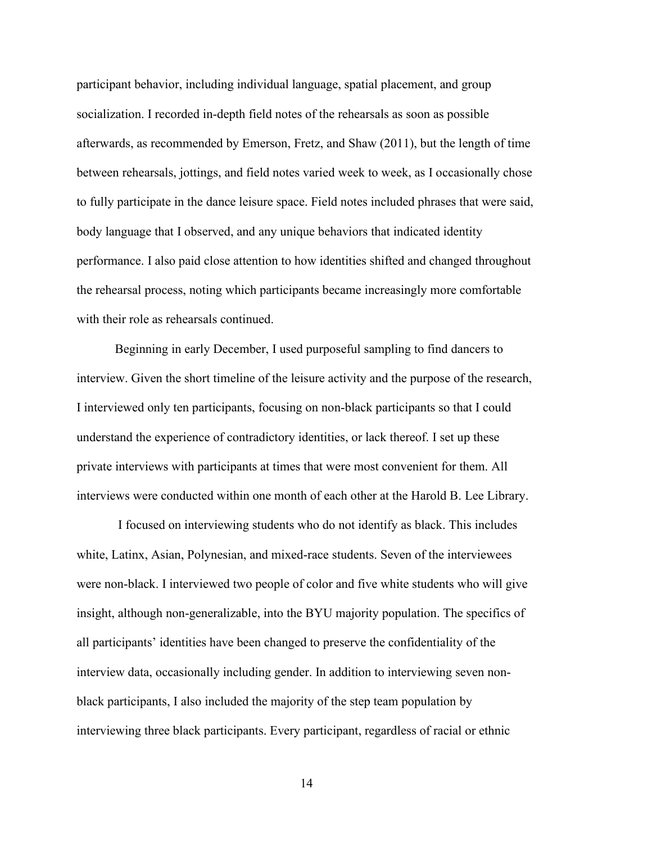participant behavior, including individual language, spatial placement, and group socialization. I recorded in-depth field notes of the rehearsals as soon as possible afterwards, as recommended by Emerson, Fretz, and Shaw (2011), but the length of time between rehearsals, jottings, and field notes varied week to week, as I occasionally chose to fully participate in the dance leisure space. Field notes included phrases that were said, body language that I observed, and any unique behaviors that indicated identity performance. I also paid close attention to how identities shifted and changed throughout the rehearsal process, noting which participants became increasingly more comfortable with their role as rehearsals continued.

Beginning in early December, I used purposeful sampling to find dancers to interview. Given the short timeline of the leisure activity and the purpose of the research, I interviewed only ten participants, focusing on non-black participants so that I could understand the experience of contradictory identities, or lack thereof. I set up these private interviews with participants at times that were most convenient for them. All interviews were conducted within one month of each other at the Harold B. Lee Library.

I focused on interviewing students who do not identify as black. This includes white, Latinx, Asian, Polynesian, and mixed-race students. Seven of the interviewees were non-black. I interviewed two people of color and five white students who will give insight, although non-generalizable, into the BYU majority population. The specifics of all participants' identities have been changed to preserve the confidentiality of the interview data, occasionally including gender. In addition to interviewing seven nonblack participants, I also included the majority of the step team population by interviewing three black participants. Every participant, regardless of racial or ethnic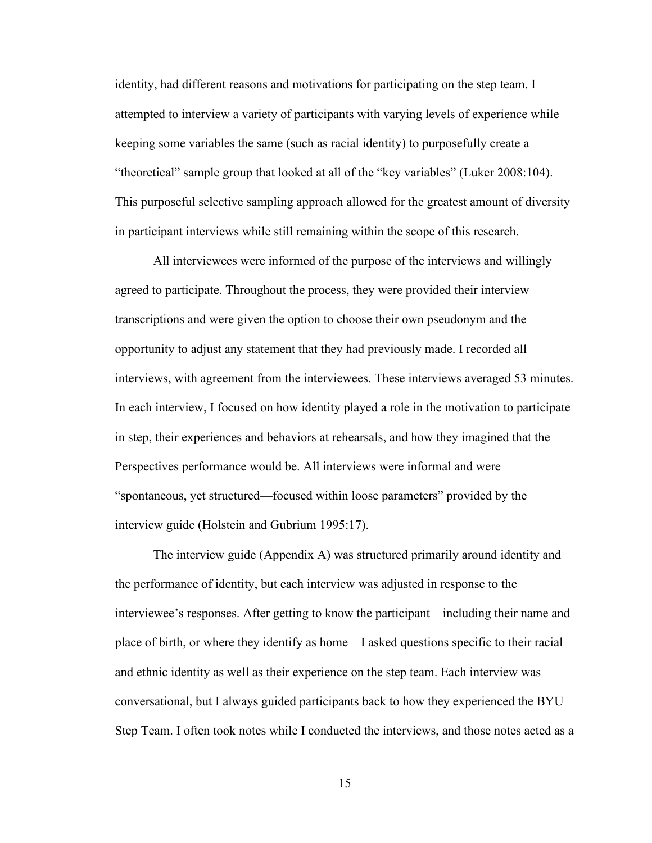identity, had different reasons and motivations for participating on the step team. I attempted to interview a variety of participants with varying levels of experience while keeping some variables the same (such as racial identity) to purposefully create a "theoretical" sample group that looked at all of the "key variables" (Luker 2008:104). This purposeful selective sampling approach allowed for the greatest amount of diversity in participant interviews while still remaining within the scope of this research.

All interviewees were informed of the purpose of the interviews and willingly agreed to participate. Throughout the process, they were provided their interview transcriptions and were given the option to choose their own pseudonym and the opportunity to adjust any statement that they had previously made. I recorded all interviews, with agreement from the interviewees. These interviews averaged 53 minutes. In each interview, I focused on how identity played a role in the motivation to participate in step, their experiences and behaviors at rehearsals, and how they imagined that the Perspectives performance would be. All interviews were informal and were "spontaneous, yet structured—focused within loose parameters" provided by the interview guide (Holstein and Gubrium 1995:17).

The interview guide (Appendix A) was structured primarily around identity and the performance of identity, but each interview was adjusted in response to the interviewee's responses. After getting to know the participant—including their name and place of birth, or where they identify as home—I asked questions specific to their racial and ethnic identity as well as their experience on the step team. Each interview was conversational, but I always guided participants back to how they experienced the BYU Step Team. I often took notes while I conducted the interviews, and those notes acted as a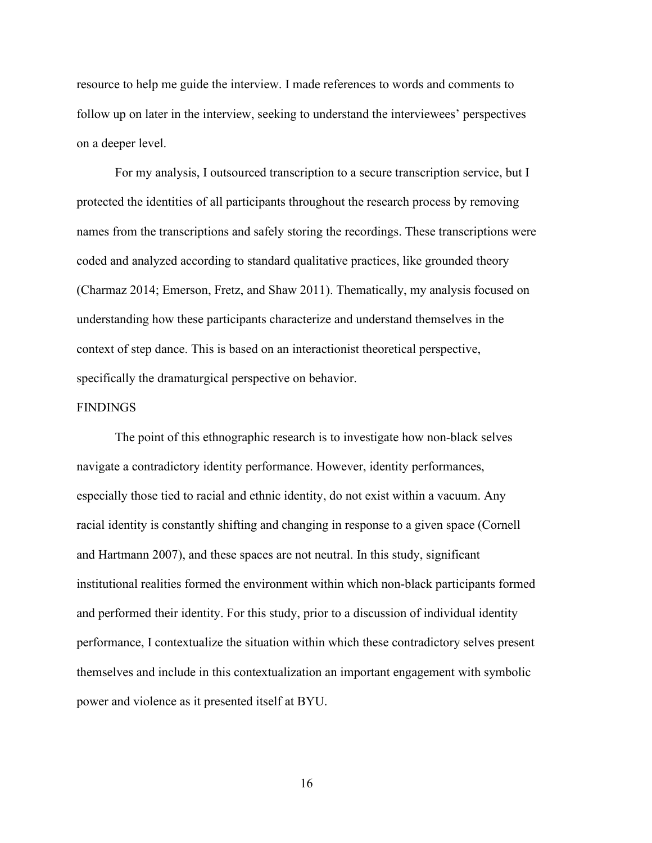resource to help me guide the interview. I made references to words and comments to follow up on later in the interview, seeking to understand the interviewees' perspectives on a deeper level.

For my analysis, I outsourced transcription to a secure transcription service, but I protected the identities of all participants throughout the research process by removing names from the transcriptions and safely storing the recordings. These transcriptions were coded and analyzed according to standard qualitative practices, like grounded theory (Charmaz 2014; Emerson, Fretz, and Shaw 2011). Thematically, my analysis focused on understanding how these participants characterize and understand themselves in the context of step dance. This is based on an interactionist theoretical perspective, specifically the dramaturgical perspective on behavior.

#### FINDINGS

The point of this ethnographic research is to investigate how non-black selves navigate a contradictory identity performance. However, identity performances, especially those tied to racial and ethnic identity, do not exist within a vacuum. Any racial identity is constantly shifting and changing in response to a given space (Cornell and Hartmann 2007), and these spaces are not neutral. In this study, significant institutional realities formed the environment within which non-black participants formed and performed their identity. For this study, prior to a discussion of individual identity performance, I contextualize the situation within which these contradictory selves present themselves and include in this contextualization an important engagement with symbolic power and violence as it presented itself at BYU.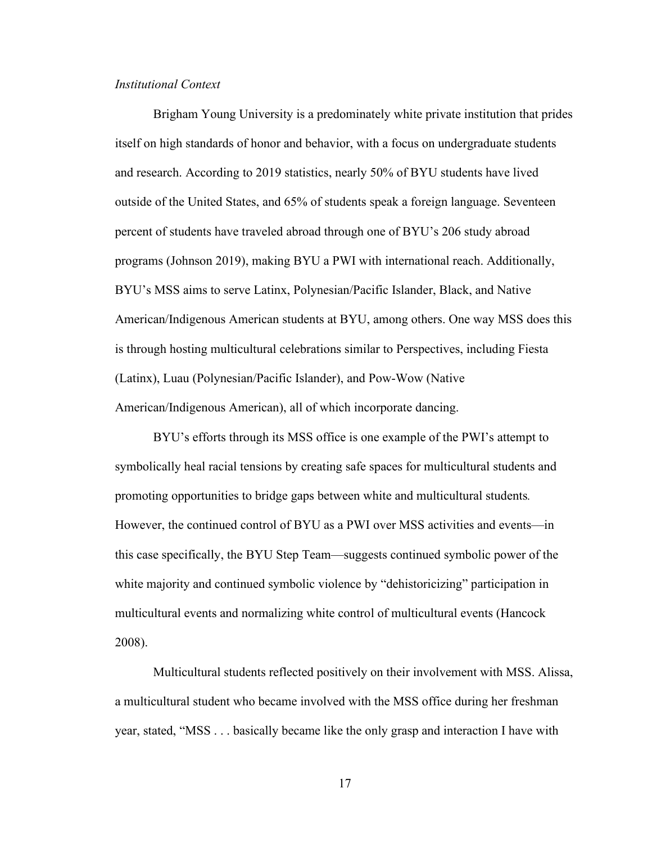## *Institutional Context*

Brigham Young University is a predominately white private institution that prides itself on high standards of honor and behavior, with a focus on undergraduate students and research. According to 2019 statistics, nearly 50% of BYU students have lived outside of the United States, and 65% of students speak a foreign language. Seventeen percent of students have traveled abroad through one of BYU's 206 study abroad programs (Johnson 2019), making BYU a PWI with international reach. Additionally, BYU's MSS aims to serve Latinx, Polynesian/Pacific Islander, Black, and Native American/Indigenous American students at BYU, among others. One way MSS does this is through hosting multicultural celebrations similar to Perspectives, including Fiesta (Latinx), Luau (Polynesian/Pacific Islander), and Pow-Wow (Native American/Indigenous American), all of which incorporate dancing.

 BYU's efforts through its MSS office is one example of the PWI's attempt to symbolically heal racial tensions by creating safe spaces for multicultural students and promoting opportunities to bridge gaps between white and multicultural students*.*  However, the continued control of BYU as a PWI over MSS activities and events—in this case specifically, the BYU Step Team—suggests continued symbolic power of the white majority and continued symbolic violence by "dehistoricizing" participation in multicultural events and normalizing white control of multicultural events (Hancock 2008).

Multicultural students reflected positively on their involvement with MSS. Alissa, a multicultural student who became involved with the MSS office during her freshman year, stated, "MSS . . . basically became like the only grasp and interaction I have with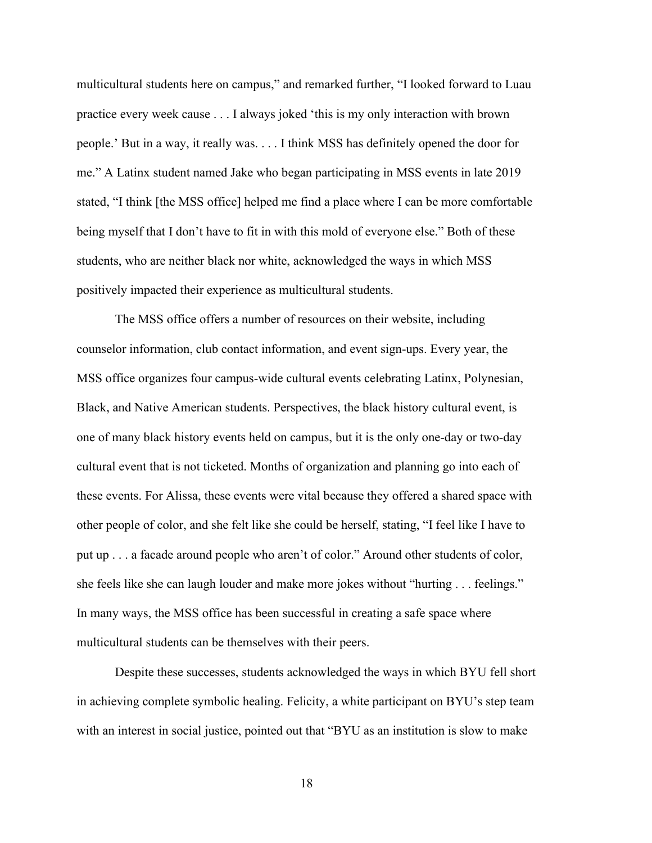multicultural students here on campus," and remarked further, "I looked forward to Luau practice every week cause . . . I always joked 'this is my only interaction with brown people.' But in a way, it really was. . . . I think MSS has definitely opened the door for me." A Latinx student named Jake who began participating in MSS events in late 2019 stated, "I think [the MSS office] helped me find a place where I can be more comfortable being myself that I don't have to fit in with this mold of everyone else." Both of these students, who are neither black nor white, acknowledged the ways in which MSS positively impacted their experience as multicultural students.

 The MSS office offers a number of resources on their website, including counselor information, club contact information, and event sign-ups. Every year, the MSS office organizes four campus-wide cultural events celebrating Latinx, Polynesian, Black, and Native American students. Perspectives, the black history cultural event, is one of many black history events held on campus, but it is the only one-day or two-day cultural event that is not ticketed. Months of organization and planning go into each of these events. For Alissa, these events were vital because they offered a shared space with other people of color, and she felt like she could be herself, stating, "I feel like I have to put up . . . a facade around people who aren't of color." Around other students of color, she feels like she can laugh louder and make more jokes without "hurting . . . feelings." In many ways, the MSS office has been successful in creating a safe space where multicultural students can be themselves with their peers.

Despite these successes, students acknowledged the ways in which BYU fell short in achieving complete symbolic healing. Felicity, a white participant on BYU's step team with an interest in social justice, pointed out that "BYU as an institution is slow to make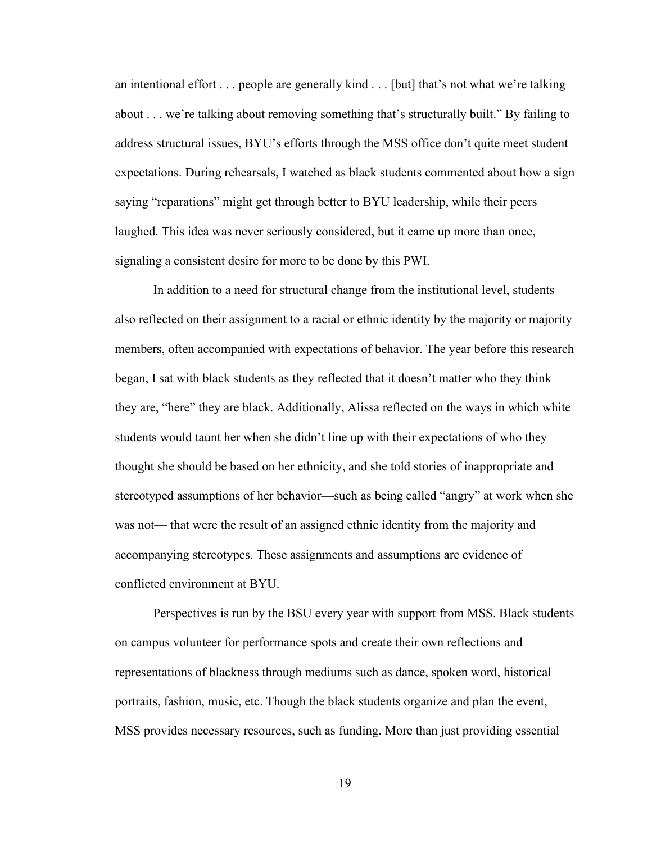an intentional effort . . . people are generally kind . . . [but] that's not what we're talking about . . . we're talking about removing something that's structurally built." By failing to address structural issues, BYU's efforts through the MSS office don't quite meet student expectations. During rehearsals, I watched as black students commented about how a sign saying "reparations" might get through better to BYU leadership, while their peers laughed. This idea was never seriously considered, but it came up more than once, signaling a consistent desire for more to be done by this PWI.

In addition to a need for structural change from the institutional level, students also reflected on their assignment to a racial or ethnic identity by the majority or majority members, often accompanied with expectations of behavior. The year before this research began, I sat with black students as they reflected that it doesn't matter who they think they are, "here" they are black. Additionally, Alissa reflected on the ways in which white students would taunt her when she didn't line up with their expectations of who they thought she should be based on her ethnicity, and she told stories of inappropriate and stereotyped assumptions of her behavior—such as being called "angry" at work when she was not— that were the result of an assigned ethnic identity from the majority and accompanying stereotypes. These assignments and assumptions are evidence of conflicted environment at BYU.

Perspectives is run by the BSU every year with support from MSS. Black students on campus volunteer for performance spots and create their own reflections and representations of blackness through mediums such as dance, spoken word, historical portraits, fashion, music, etc. Though the black students organize and plan the event, MSS provides necessary resources, such as funding. More than just providing essential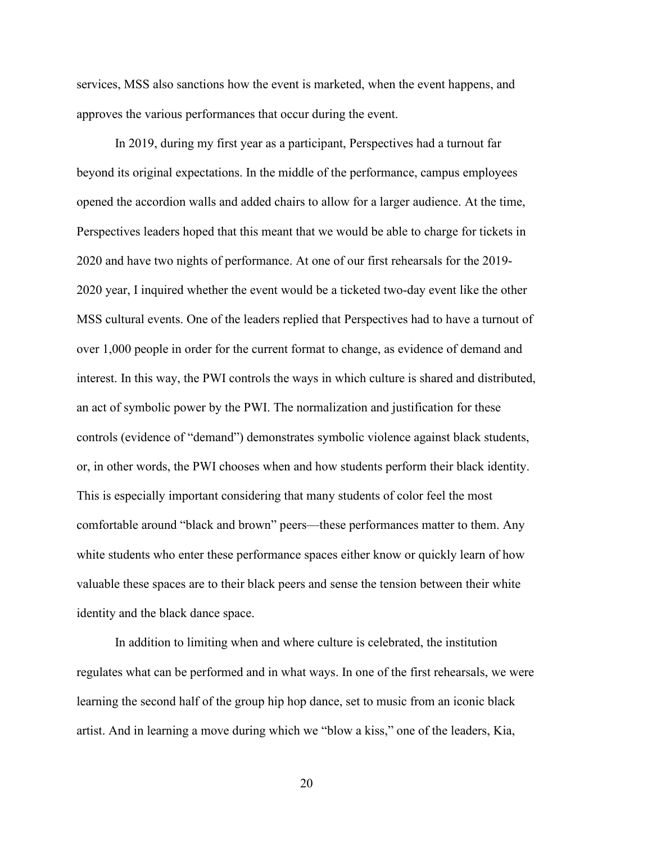services, MSS also sanctions how the event is marketed, when the event happens, and approves the various performances that occur during the event.

In 2019, during my first year as a participant, Perspectives had a turnout far beyond its original expectations. In the middle of the performance, campus employees opened the accordion walls and added chairs to allow for a larger audience. At the time, Perspectives leaders hoped that this meant that we would be able to charge for tickets in 2020 and have two nights of performance. At one of our first rehearsals for the 2019- 2020 year, I inquired whether the event would be a ticketed two-day event like the other MSS cultural events. One of the leaders replied that Perspectives had to have a turnout of over 1,000 people in order for the current format to change, as evidence of demand and interest. In this way, the PWI controls the ways in which culture is shared and distributed, an act of symbolic power by the PWI. The normalization and justification for these controls (evidence of "demand") demonstrates symbolic violence against black students, or, in other words, the PWI chooses when and how students perform their black identity. This is especially important considering that many students of color feel the most comfortable around "black and brown" peers—these performances matter to them. Any white students who enter these performance spaces either know or quickly learn of how valuable these spaces are to their black peers and sense the tension between their white identity and the black dance space.

In addition to limiting when and where culture is celebrated, the institution regulates what can be performed and in what ways. In one of the first rehearsals, we were learning the second half of the group hip hop dance, set to music from an iconic black artist. And in learning a move during which we "blow a kiss," one of the leaders, Kia,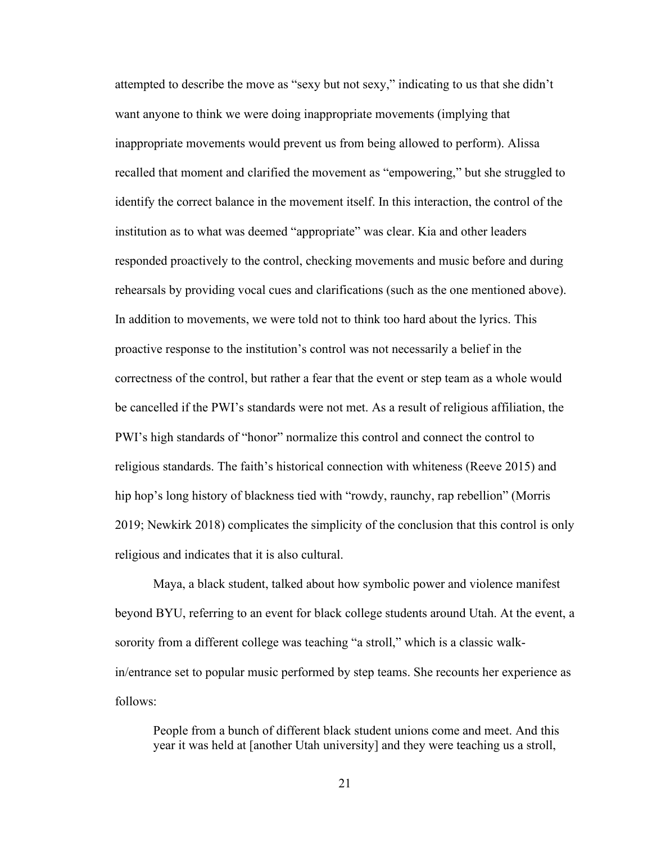attempted to describe the move as "sexy but not sexy," indicating to us that she didn't want anyone to think we were doing inappropriate movements (implying that inappropriate movements would prevent us from being allowed to perform). Alissa recalled that moment and clarified the movement as "empowering," but she struggled to identify the correct balance in the movement itself. In this interaction, the control of the institution as to what was deemed "appropriate" was clear. Kia and other leaders responded proactively to the control, checking movements and music before and during rehearsals by providing vocal cues and clarifications (such as the one mentioned above). In addition to movements, we were told not to think too hard about the lyrics. This proactive response to the institution's control was not necessarily a belief in the correctness of the control, but rather a fear that the event or step team as a whole would be cancelled if the PWI's standards were not met. As a result of religious affiliation, the PWI's high standards of "honor" normalize this control and connect the control to religious standards. The faith's historical connection with whiteness (Reeve 2015) and hip hop's long history of blackness tied with "rowdy, raunchy, rap rebellion" (Morris 2019; Newkirk 2018) complicates the simplicity of the conclusion that this control is only religious and indicates that it is also cultural.

Maya, a black student, talked about how symbolic power and violence manifest beyond BYU, referring to an event for black college students around Utah. At the event, a sorority from a different college was teaching "a stroll," which is a classic walkin/entrance set to popular music performed by step teams. She recounts her experience as follows:

People from a bunch of different black student unions come and meet. And this year it was held at [another Utah university] and they were teaching us a stroll,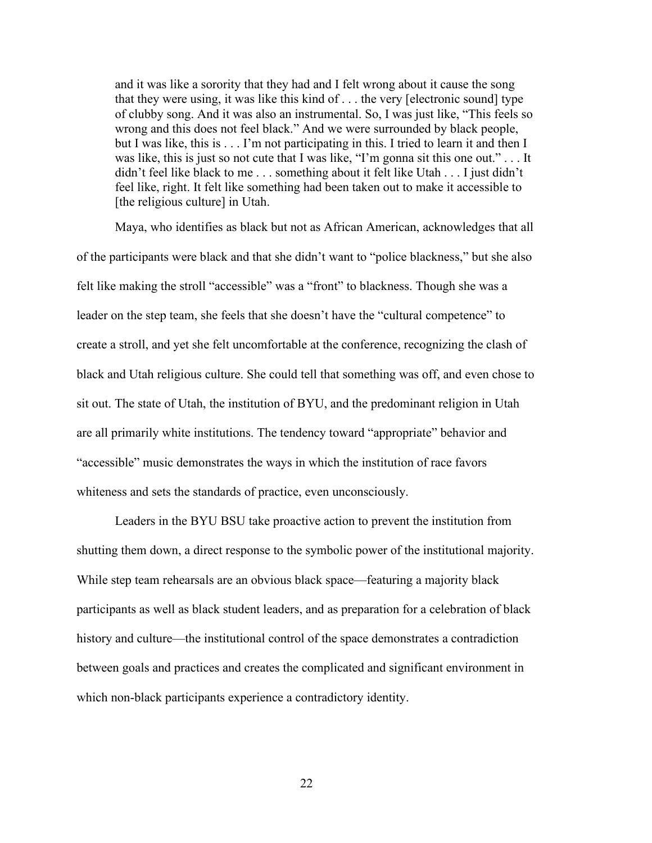and it was like a sorority that they had and I felt wrong about it cause the song that they were using, it was like this kind of . . . the very [electronic sound] type of clubby song. And it was also an instrumental. So, I was just like, "This feels so wrong and this does not feel black." And we were surrounded by black people, but I was like, this is . . . I'm not participating in this. I tried to learn it and then I was like, this is just so not cute that I was like, "I'm gonna sit this one out." . . . It didn't feel like black to me . . . something about it felt like Utah . . . I just didn't feel like, right. It felt like something had been taken out to make it accessible to [the religious culture] in Utah.

Maya, who identifies as black but not as African American, acknowledges that all of the participants were black and that she didn't want to "police blackness," but she also felt like making the stroll "accessible" was a "front" to blackness. Though she was a leader on the step team, she feels that she doesn't have the "cultural competence" to create a stroll, and yet she felt uncomfortable at the conference, recognizing the clash of black and Utah religious culture. She could tell that something was off, and even chose to sit out. The state of Utah, the institution of BYU, and the predominant religion in Utah are all primarily white institutions. The tendency toward "appropriate" behavior and "accessible" music demonstrates the ways in which the institution of race favors whiteness and sets the standards of practice, even unconsciously.

Leaders in the BYU BSU take proactive action to prevent the institution from shutting them down, a direct response to the symbolic power of the institutional majority. While step team rehearsals are an obvious black space—featuring a majority black participants as well as black student leaders, and as preparation for a celebration of black history and culture—the institutional control of the space demonstrates a contradiction between goals and practices and creates the complicated and significant environment in which non-black participants experience a contradictory identity.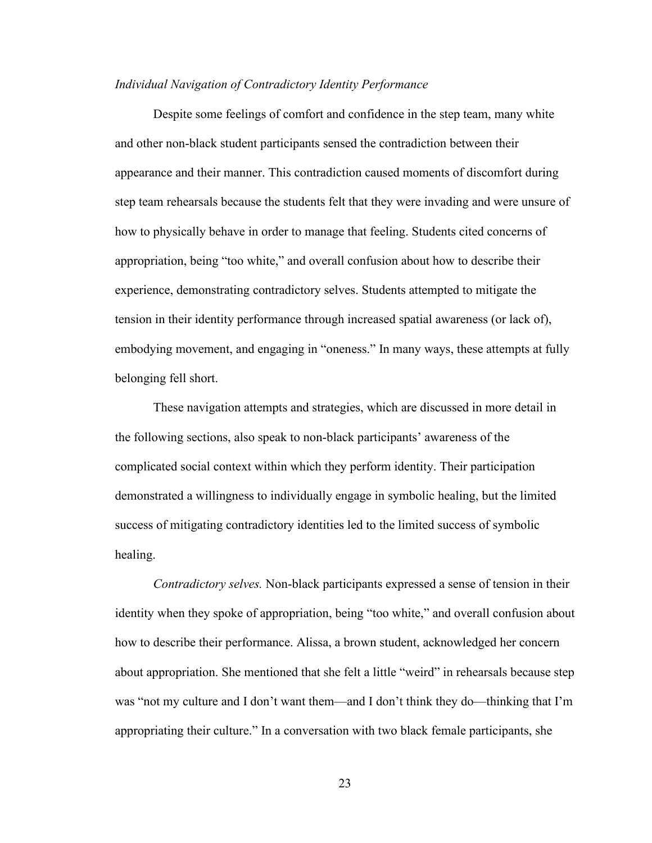#### *Individual Navigation of Contradictory Identity Performance*

Despite some feelings of comfort and confidence in the step team, many white and other non-black student participants sensed the contradiction between their appearance and their manner. This contradiction caused moments of discomfort during step team rehearsals because the students felt that they were invading and were unsure of how to physically behave in order to manage that feeling. Students cited concerns of appropriation, being "too white," and overall confusion about how to describe their experience, demonstrating contradictory selves. Students attempted to mitigate the tension in their identity performance through increased spatial awareness (or lack of), embodying movement, and engaging in "oneness." In many ways, these attempts at fully belonging fell short.

These navigation attempts and strategies, which are discussed in more detail in the following sections, also speak to non-black participants' awareness of the complicated social context within which they perform identity. Their participation demonstrated a willingness to individually engage in symbolic healing, but the limited success of mitigating contradictory identities led to the limited success of symbolic healing.

*Contradictory selves.* Non-black participants expressed a sense of tension in their identity when they spoke of appropriation, being "too white," and overall confusion about how to describe their performance. Alissa, a brown student, acknowledged her concern about appropriation. She mentioned that she felt a little "weird" in rehearsals because step was "not my culture and I don't want them—and I don't think they do—thinking that I'm appropriating their culture." In a conversation with two black female participants, she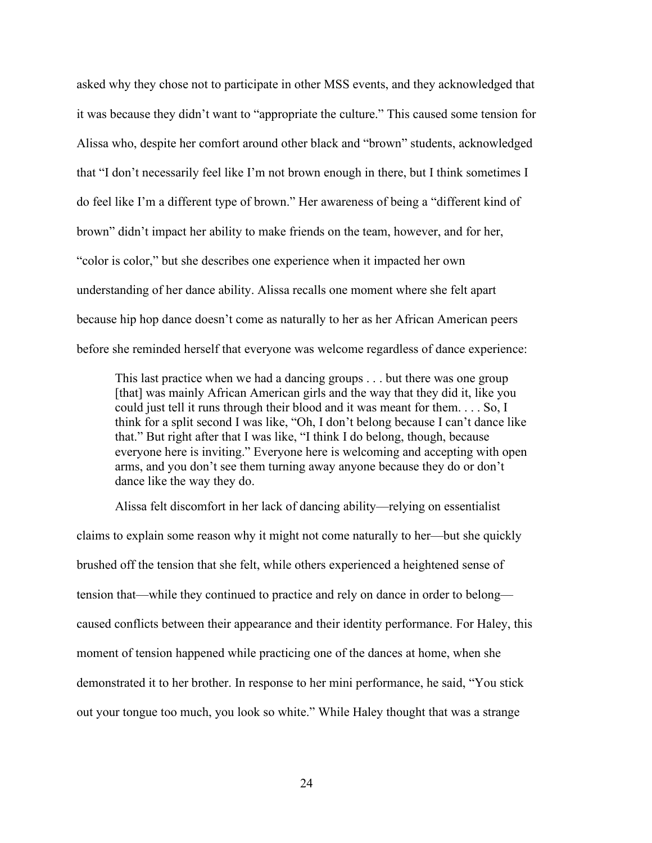asked why they chose not to participate in other MSS events, and they acknowledged that it was because they didn't want to "appropriate the culture." This caused some tension for Alissa who, despite her comfort around other black and "brown" students, acknowledged that "I don't necessarily feel like I'm not brown enough in there, but I think sometimes I do feel like I'm a different type of brown." Her awareness of being a "different kind of brown" didn't impact her ability to make friends on the team, however, and for her, "color is color," but she describes one experience when it impacted her own understanding of her dance ability. Alissa recalls one moment where she felt apart because hip hop dance doesn't come as naturally to her as her African American peers before she reminded herself that everyone was welcome regardless of dance experience:

This last practice when we had a dancing groups . . . but there was one group [that] was mainly African American girls and the way that they did it, like you could just tell it runs through their blood and it was meant for them. . . . So, I think for a split second I was like, "Oh, I don't belong because I can't dance like that." But right after that I was like, "I think I do belong, though, because everyone here is inviting." Everyone here is welcoming and accepting with open arms, and you don't see them turning away anyone because they do or don't dance like the way they do.

Alissa felt discomfort in her lack of dancing ability—relying on essentialist claims to explain some reason why it might not come naturally to her—but she quickly brushed off the tension that she felt, while others experienced a heightened sense of tension that—while they continued to practice and rely on dance in order to belong caused conflicts between their appearance and their identity performance. For Haley, this moment of tension happened while practicing one of the dances at home, when she demonstrated it to her brother. In response to her mini performance, he said, "You stick out your tongue too much, you look so white." While Haley thought that was a strange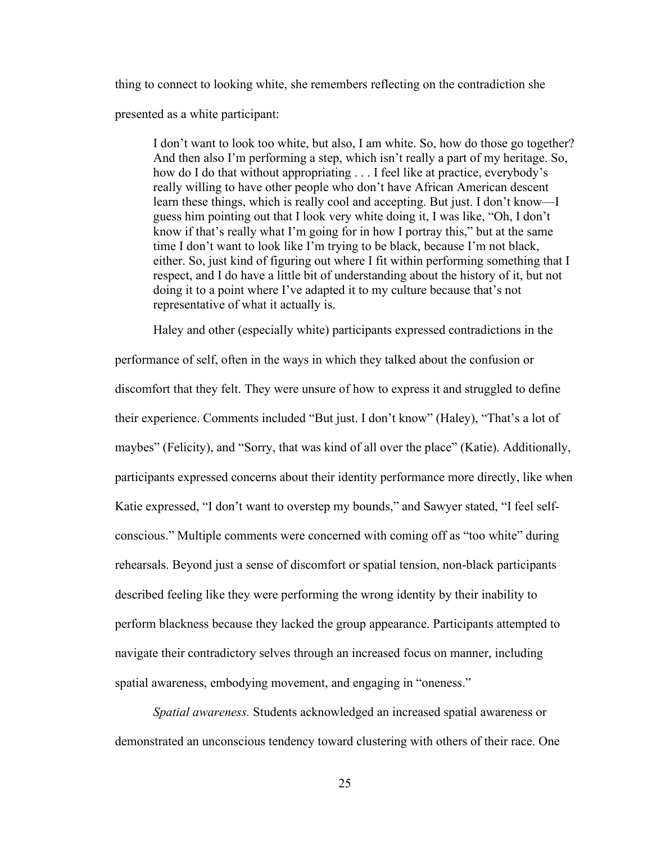thing to connect to looking white, she remembers reflecting on the contradiction she

presented as a white participant:

I don't want to look too white, but also, I am white. So, how do those go together? And then also I'm performing a step, which isn't really a part of my heritage. So, how do I do that without appropriating . . . I feel like at practice, everybody's really willing to have other people who don't have African American descent learn these things, which is really cool and accepting. But just. I don't know—I guess him pointing out that I look very white doing it, I was like, "Oh, I don't know if that's really what I'm going for in how I portray this," but at the same time I don't want to look like I'm trying to be black, because I'm not black, either. So, just kind of figuring out where I fit within performing something that I respect, and I do have a little bit of understanding about the history of it, but not doing it to a point where I've adapted it to my culture because that's not representative of what it actually is.

 Haley and other (especially white) participants expressed contradictions in the performance of self, often in the ways in which they talked about the confusion or discomfort that they felt. They were unsure of how to express it and struggled to define their experience. Comments included "But just. I don't know" (Haley), "That's a lot of maybes" (Felicity), and "Sorry, that was kind of all over the place" (Katie). Additionally, participants expressed concerns about their identity performance more directly, like when Katie expressed, "I don't want to overstep my bounds," and Sawyer stated, "I feel selfconscious." Multiple comments were concerned with coming off as "too white" during rehearsals. Beyond just a sense of discomfort or spatial tension, non-black participants described feeling like they were performing the wrong identity by their inability to perform blackness because they lacked the group appearance. Participants attempted to navigate their contradictory selves through an increased focus on manner, including spatial awareness, embodying movement, and engaging in "oneness."

*Spatial awareness.* Students acknowledged an increased spatial awareness or demonstrated an unconscious tendency toward clustering with others of their race. One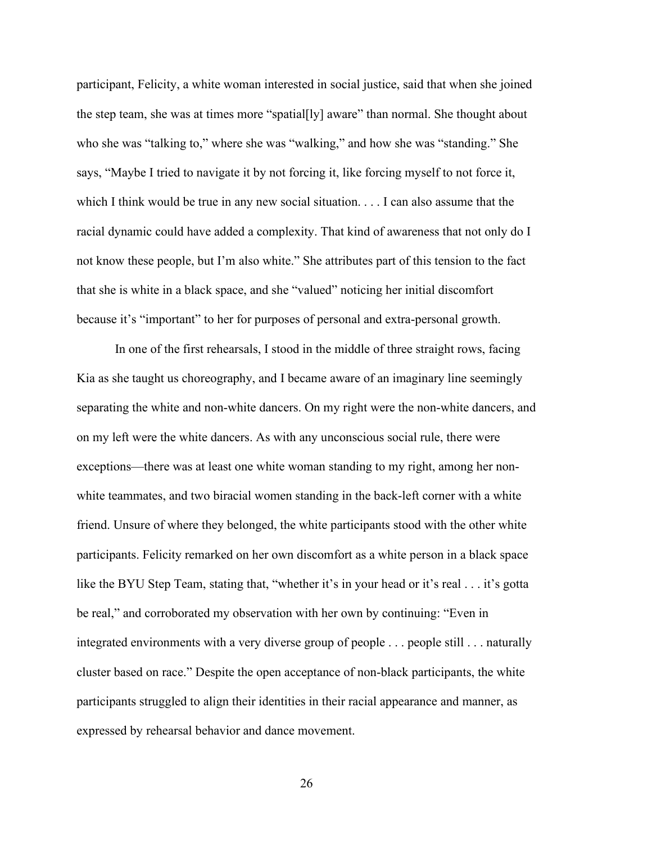participant, Felicity, a white woman interested in social justice, said that when she joined the step team, she was at times more "spatial[ly] aware" than normal. She thought about who she was "talking to," where she was "walking," and how she was "standing." She says, "Maybe I tried to navigate it by not forcing it, like forcing myself to not force it, which I think would be true in any new social situation. . . . I can also assume that the racial dynamic could have added a complexity. That kind of awareness that not only do I not know these people, but I'm also white." She attributes part of this tension to the fact that she is white in a black space, and she "valued" noticing her initial discomfort because it's "important" to her for purposes of personal and extra-personal growth.

 In one of the first rehearsals, I stood in the middle of three straight rows, facing Kia as she taught us choreography, and I became aware of an imaginary line seemingly separating the white and non-white dancers. On my right were the non-white dancers, and on my left were the white dancers. As with any unconscious social rule, there were exceptions—there was at least one white woman standing to my right, among her nonwhite teammates, and two biracial women standing in the back-left corner with a white friend. Unsure of where they belonged, the white participants stood with the other white participants. Felicity remarked on her own discomfort as a white person in a black space like the BYU Step Team, stating that, "whether it's in your head or it's real . . . it's gotta be real," and corroborated my observation with her own by continuing: "Even in integrated environments with a very diverse group of people . . . people still . . . naturally cluster based on race." Despite the open acceptance of non-black participants, the white participants struggled to align their identities in their racial appearance and manner, as expressed by rehearsal behavior and dance movement.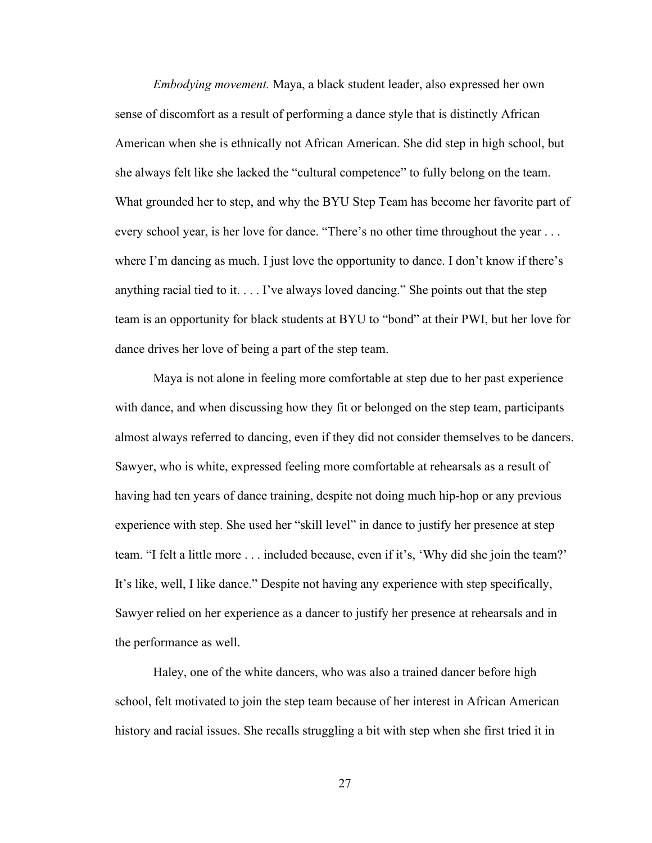*Embodying movement.* Maya, a black student leader, also expressed her own sense of discomfort as a result of performing a dance style that is distinctly African American when she is ethnically not African American. She did step in high school, but she always felt like she lacked the "cultural competence" to fully belong on the team. What grounded her to step, and why the BYU Step Team has become her favorite part of every school year, is her love for dance. "There's no other time throughout the year ... where I'm dancing as much. I just love the opportunity to dance. I don't know if there's anything racial tied to it.  $\dots$  I've always loved dancing." She points out that the step team is an opportunity for black students at BYU to "bond" at their PWI, but her love for dance drives her love of being a part of the step team.

Maya is not alone in feeling more comfortable at step due to her past experience with dance, and when discussing how they fit or belonged on the step team, participants almost always referred to dancing, even if they did not consider themselves to be dancers. Sawyer, who is white, expressed feeling more comfortable at rehearsals as a result of having had ten years of dance training, despite not doing much hip-hop or any previous experience with step. She used her "skill level" in dance to justify her presence at step team. "I felt a little more . . . included because, even if it's, 'Why did she join the team?' It's like, well, I like dance." Despite not having any experience with step specifically, Sawyer relied on her experience as a dancer to justify her presence at rehearsals and in the performance as well.

Haley, one of the white dancers, who was also a trained dancer before high school, felt motivated to join the step team because of her interest in African American history and racial issues. She recalls struggling a bit with step when she first tried it in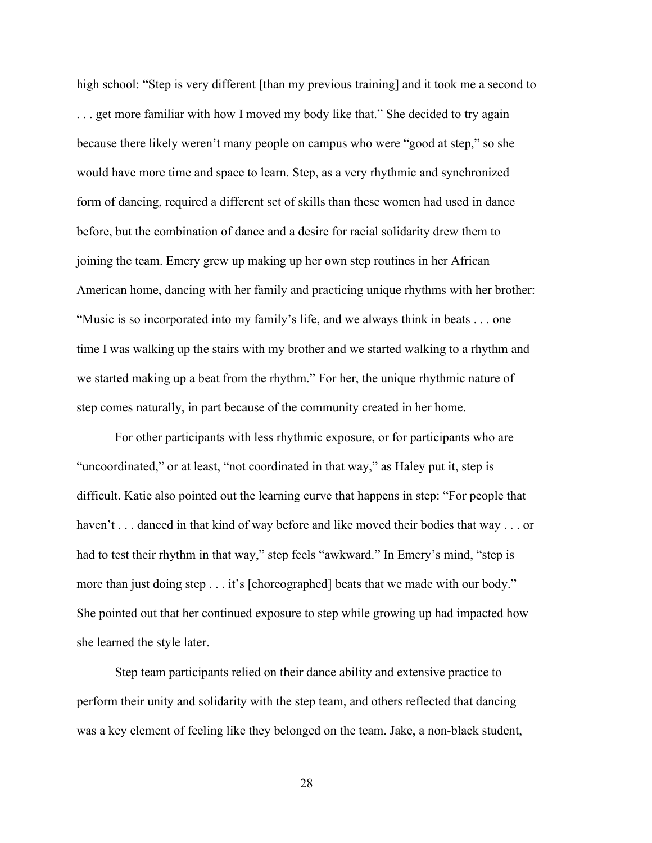high school: "Step is very different [than my previous training] and it took me a second to . . . get more familiar with how I moved my body like that." She decided to try again because there likely weren't many people on campus who were "good at step," so she would have more time and space to learn. Step, as a very rhythmic and synchronized form of dancing, required a different set of skills than these women had used in dance before, but the combination of dance and a desire for racial solidarity drew them to joining the team. Emery grew up making up her own step routines in her African American home, dancing with her family and practicing unique rhythms with her brother: "Music is so incorporated into my family's life, and we always think in beats . . . one time I was walking up the stairs with my brother and we started walking to a rhythm and we started making up a beat from the rhythm." For her, the unique rhythmic nature of step comes naturally, in part because of the community created in her home.

For other participants with less rhythmic exposure, or for participants who are "uncoordinated," or at least, "not coordinated in that way," as Haley put it, step is difficult. Katie also pointed out the learning curve that happens in step: "For people that haven't . . . danced in that kind of way before and like moved their bodies that way . . . or had to test their rhythm in that way," step feels "awkward." In Emery's mind, "step is more than just doing step . . . it's [choreographed] beats that we made with our body." She pointed out that her continued exposure to step while growing up had impacted how she learned the style later.

Step team participants relied on their dance ability and extensive practice to perform their unity and solidarity with the step team, and others reflected that dancing was a key element of feeling like they belonged on the team. Jake, a non-black student,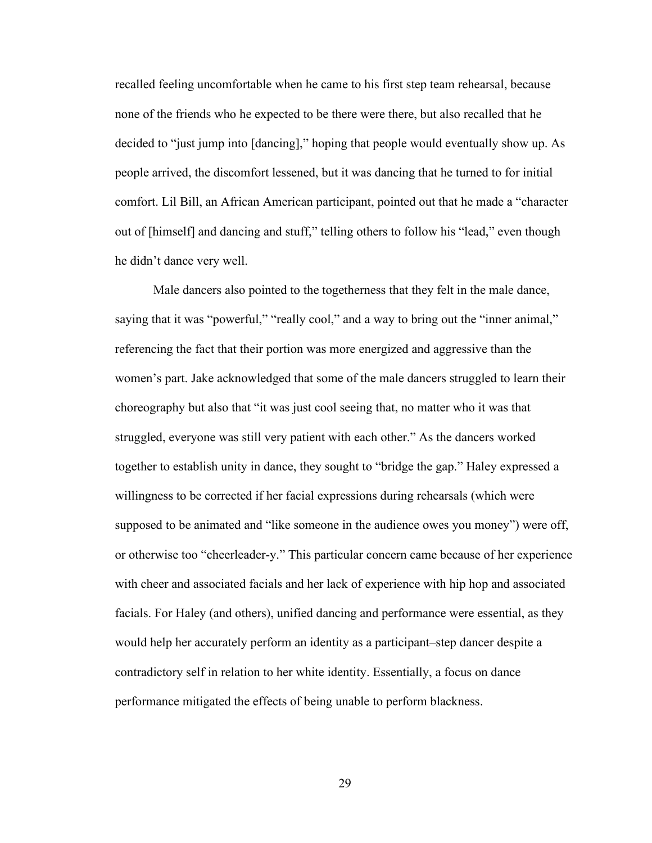recalled feeling uncomfortable when he came to his first step team rehearsal, because none of the friends who he expected to be there were there, but also recalled that he decided to "just jump into [dancing]," hoping that people would eventually show up. As people arrived, the discomfort lessened, but it was dancing that he turned to for initial comfort. Lil Bill, an African American participant, pointed out that he made a "character out of [himself] and dancing and stuff," telling others to follow his "lead," even though he didn't dance very well.

 Male dancers also pointed to the togetherness that they felt in the male dance, saying that it was "powerful," "really cool," and a way to bring out the "inner animal," referencing the fact that their portion was more energized and aggressive than the women's part. Jake acknowledged that some of the male dancers struggled to learn their choreography but also that "it was just cool seeing that, no matter who it was that struggled, everyone was still very patient with each other." As the dancers worked together to establish unity in dance, they sought to "bridge the gap." Haley expressed a willingness to be corrected if her facial expressions during rehearsals (which were supposed to be animated and "like someone in the audience owes you money") were off, or otherwise too "cheerleader-y." This particular concern came because of her experience with cheer and associated facials and her lack of experience with hip hop and associated facials. For Haley (and others), unified dancing and performance were essential, as they would help her accurately perform an identity as a participant–step dancer despite a contradictory self in relation to her white identity. Essentially, a focus on dance performance mitigated the effects of being unable to perform blackness.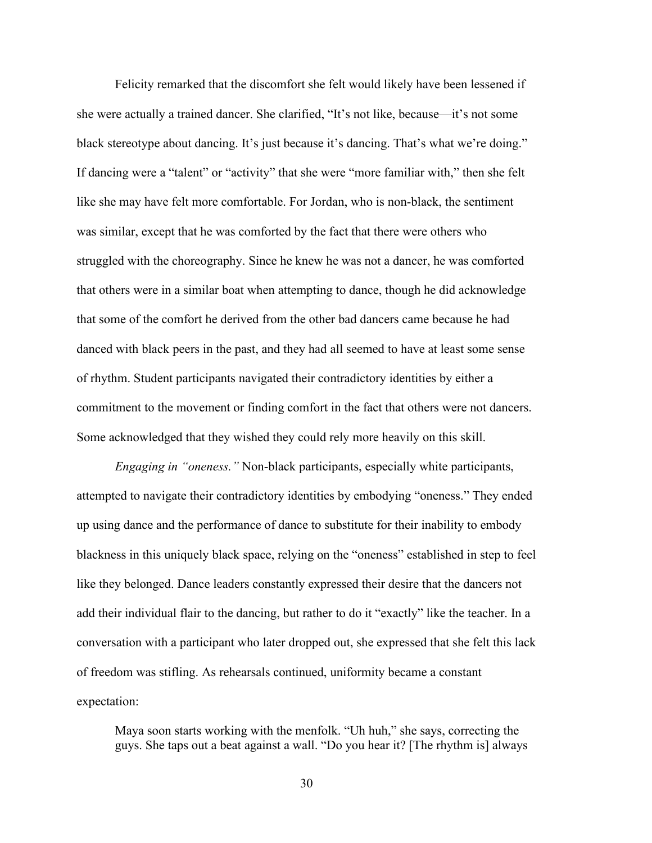Felicity remarked that the discomfort she felt would likely have been lessened if she were actually a trained dancer. She clarified, "It's not like, because—it's not some black stereotype about dancing. It's just because it's dancing. That's what we're doing." If dancing were a "talent" or "activity" that she were "more familiar with," then she felt like she may have felt more comfortable. For Jordan, who is non-black, the sentiment was similar, except that he was comforted by the fact that there were others who struggled with the choreography. Since he knew he was not a dancer, he was comforted that others were in a similar boat when attempting to dance, though he did acknowledge that some of the comfort he derived from the other bad dancers came because he had danced with black peers in the past, and they had all seemed to have at least some sense of rhythm. Student participants navigated their contradictory identities by either a commitment to the movement or finding comfort in the fact that others were not dancers. Some acknowledged that they wished they could rely more heavily on this skill.

*Engaging in "oneness."* Non-black participants, especially white participants, attempted to navigate their contradictory identities by embodying "oneness." They ended up using dance and the performance of dance to substitute for their inability to embody blackness in this uniquely black space, relying on the "oneness" established in step to feel like they belonged. Dance leaders constantly expressed their desire that the dancers not add their individual flair to the dancing, but rather to do it "exactly" like the teacher. In a conversation with a participant who later dropped out, she expressed that she felt this lack of freedom was stifling. As rehearsals continued, uniformity became a constant expectation:

Maya soon starts working with the menfolk. "Uh huh," she says, correcting the guys. She taps out a beat against a wall. "Do you hear it? [The rhythm is] always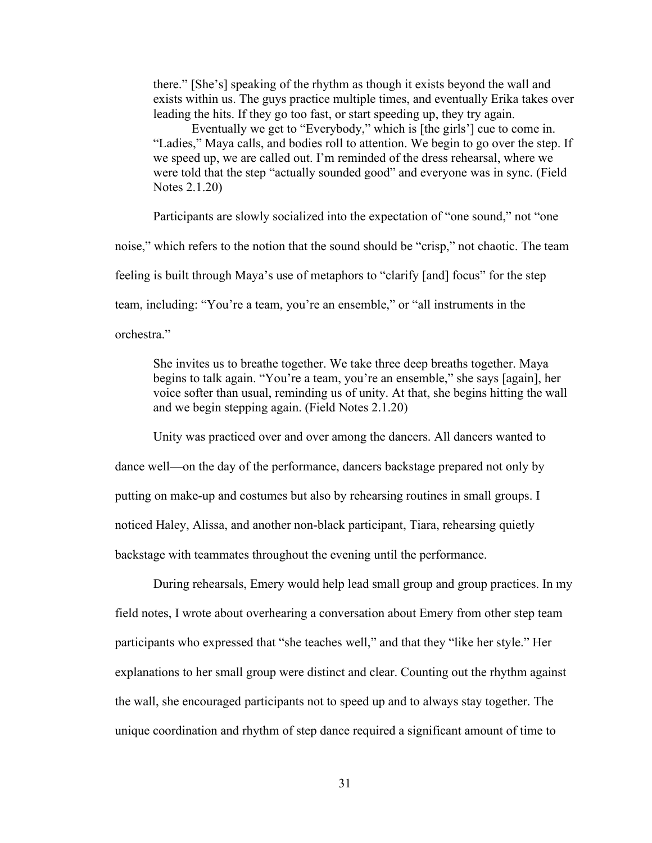there." [She's] speaking of the rhythm as though it exists beyond the wall and exists within us. The guys practice multiple times, and eventually Erika takes over leading the hits. If they go too fast, or start speeding up, they try again.

Eventually we get to "Everybody," which is [the girls'] cue to come in. "Ladies," Maya calls, and bodies roll to attention. We begin to go over the step. If we speed up, we are called out. I'm reminded of the dress rehearsal, where we were told that the step "actually sounded good" and everyone was in sync. (Field Notes 2.1.20)

Participants are slowly socialized into the expectation of "one sound," not "one noise," which refers to the notion that the sound should be "crisp," not chaotic. The team feeling is built through Maya's use of metaphors to "clarify [and] focus" for the step team, including: "You're a team, you're an ensemble," or "all instruments in the orchestra."

She invites us to breathe together. We take three deep breaths together. Maya begins to talk again. "You're a team, you're an ensemble," she says [again], her voice softer than usual, reminding us of unity. At that, she begins hitting the wall and we begin stepping again. (Field Notes 2.1.20)

 Unity was practiced over and over among the dancers. All dancers wanted to dance well—on the day of the performance, dancers backstage prepared not only by putting on make-up and costumes but also by rehearsing routines in small groups. I noticed Haley, Alissa, and another non-black participant, Tiara, rehearsing quietly backstage with teammates throughout the evening until the performance.

During rehearsals, Emery would help lead small group and group practices. In my field notes, I wrote about overhearing a conversation about Emery from other step team participants who expressed that "she teaches well," and that they "like her style." Her explanations to her small group were distinct and clear. Counting out the rhythm against the wall, she encouraged participants not to speed up and to always stay together. The unique coordination and rhythm of step dance required a significant amount of time to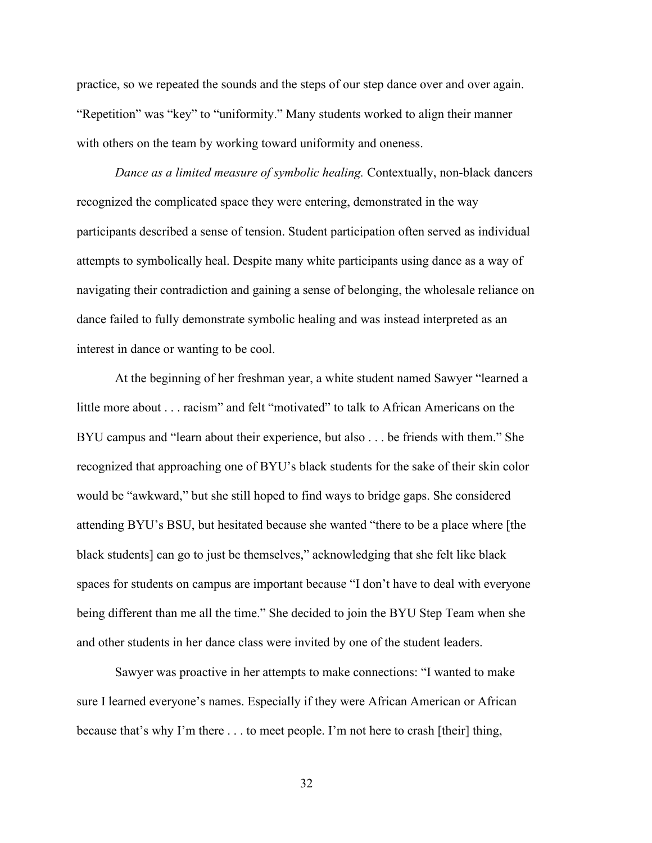practice, so we repeated the sounds and the steps of our step dance over and over again. "Repetition" was "key" to "uniformity." Many students worked to align their manner with others on the team by working toward uniformity and oneness.

*Dance as a limited measure of symbolic healing.* Contextually, non-black dancers recognized the complicated space they were entering, demonstrated in the way participants described a sense of tension. Student participation often served as individual attempts to symbolically heal. Despite many white participants using dance as a way of navigating their contradiction and gaining a sense of belonging, the wholesale reliance on dance failed to fully demonstrate symbolic healing and was instead interpreted as an interest in dance or wanting to be cool.

At the beginning of her freshman year, a white student named Sawyer "learned a little more about . . . racism" and felt "motivated" to talk to African Americans on the BYU campus and "learn about their experience, but also . . . be friends with them." She recognized that approaching one of BYU's black students for the sake of their skin color would be "awkward," but she still hoped to find ways to bridge gaps. She considered attending BYU's BSU, but hesitated because she wanted "there to be a place where [the black students] can go to just be themselves," acknowledging that she felt like black spaces for students on campus are important because "I don't have to deal with everyone being different than me all the time." She decided to join the BYU Step Team when she and other students in her dance class were invited by one of the student leaders.

Sawyer was proactive in her attempts to make connections: "I wanted to make sure I learned everyone's names. Especially if they were African American or African because that's why I'm there . . . to meet people. I'm not here to crash [their] thing,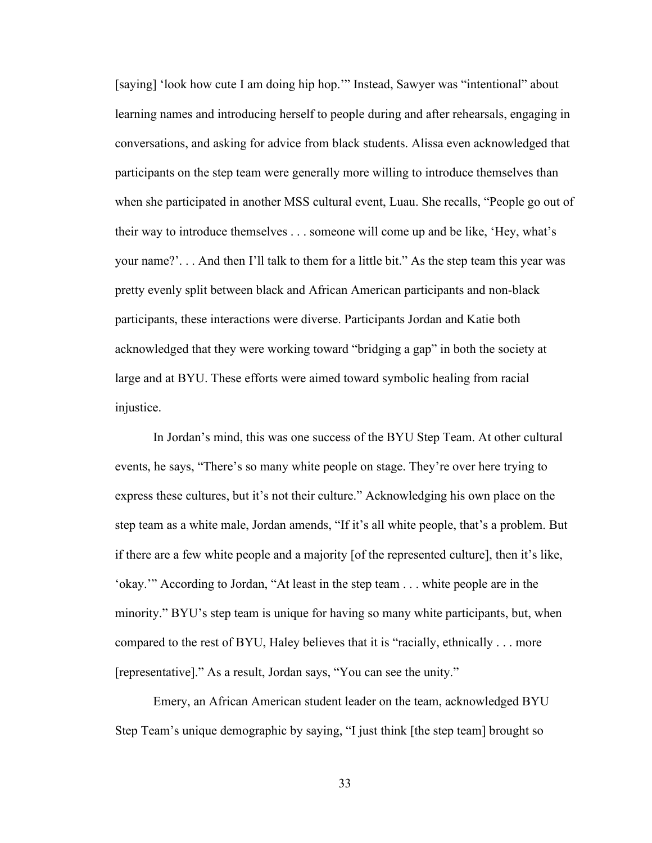[saying] 'look how cute I am doing hip hop.'" Instead, Sawyer was "intentional" about learning names and introducing herself to people during and after rehearsals, engaging in conversations, and asking for advice from black students. Alissa even acknowledged that participants on the step team were generally more willing to introduce themselves than when she participated in another MSS cultural event, Luau. She recalls, "People go out of their way to introduce themselves . . . someone will come up and be like, 'Hey, what's your name?'. . . And then I'll talk to them for a little bit." As the step team this year was pretty evenly split between black and African American participants and non-black participants, these interactions were diverse. Participants Jordan and Katie both acknowledged that they were working toward "bridging a gap" in both the society at large and at BYU. These efforts were aimed toward symbolic healing from racial injustice.

In Jordan's mind, this was one success of the BYU Step Team. At other cultural events, he says, "There's so many white people on stage. They're over here trying to express these cultures, but it's not their culture." Acknowledging his own place on the step team as a white male, Jordan amends, "If it's all white people, that's a problem. But if there are a few white people and a majority [of the represented culture], then it's like, 'okay.'" According to Jordan, "At least in the step team . . . white people are in the minority." BYU's step team is unique for having so many white participants, but, when compared to the rest of BYU, Haley believes that it is "racially, ethnically . . . more [representative]." As a result, Jordan says, "You can see the unity."

Emery, an African American student leader on the team, acknowledged BYU Step Team's unique demographic by saying, "I just think [the step team] brought so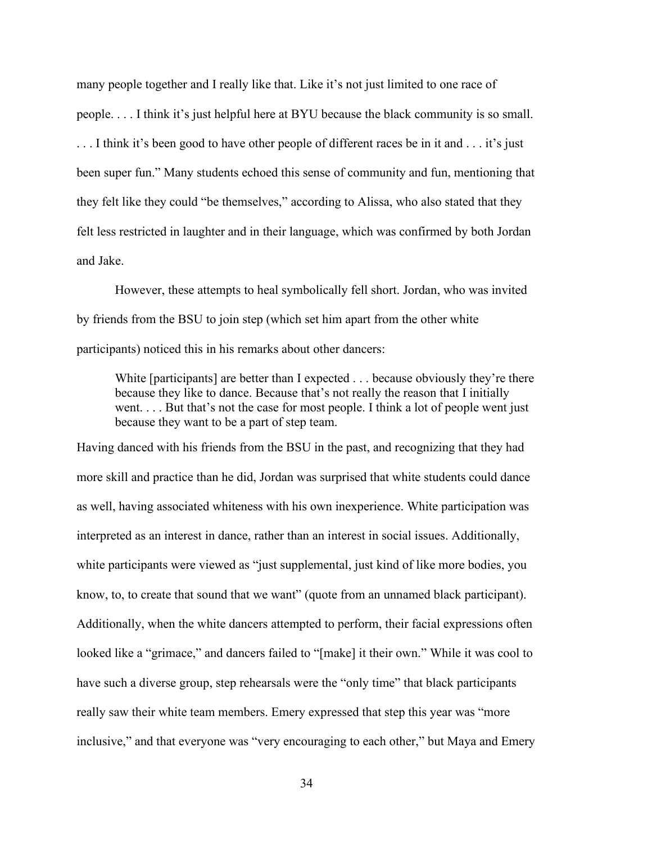many people together and I really like that. Like it's not just limited to one race of people. . . . I think it's just helpful here at BYU because the black community is so small. . . . I think it's been good to have other people of different races be in it and . . . it's just been super fun." Many students echoed this sense of community and fun, mentioning that they felt like they could "be themselves," according to Alissa, who also stated that they felt less restricted in laughter and in their language, which was confirmed by both Jordan and Jake.

However, these attempts to heal symbolically fell short. Jordan, who was invited by friends from the BSU to join step (which set him apart from the other white participants) noticed this in his remarks about other dancers:

White [participants] are better than I expected . . . because obviously they're there because they like to dance. Because that's not really the reason that I initially went. . . . But that's not the case for most people. I think a lot of people went just because they want to be a part of step team.

Having danced with his friends from the BSU in the past, and recognizing that they had more skill and practice than he did, Jordan was surprised that white students could dance as well, having associated whiteness with his own inexperience. White participation was interpreted as an interest in dance, rather than an interest in social issues. Additionally, white participants were viewed as "just supplemental, just kind of like more bodies, you know, to, to create that sound that we want" (quote from an unnamed black participant). Additionally, when the white dancers attempted to perform, their facial expressions often looked like a "grimace," and dancers failed to "[make] it their own." While it was cool to have such a diverse group, step rehearsals were the "only time" that black participants really saw their white team members. Emery expressed that step this year was "more inclusive," and that everyone was "very encouraging to each other," but Maya and Emery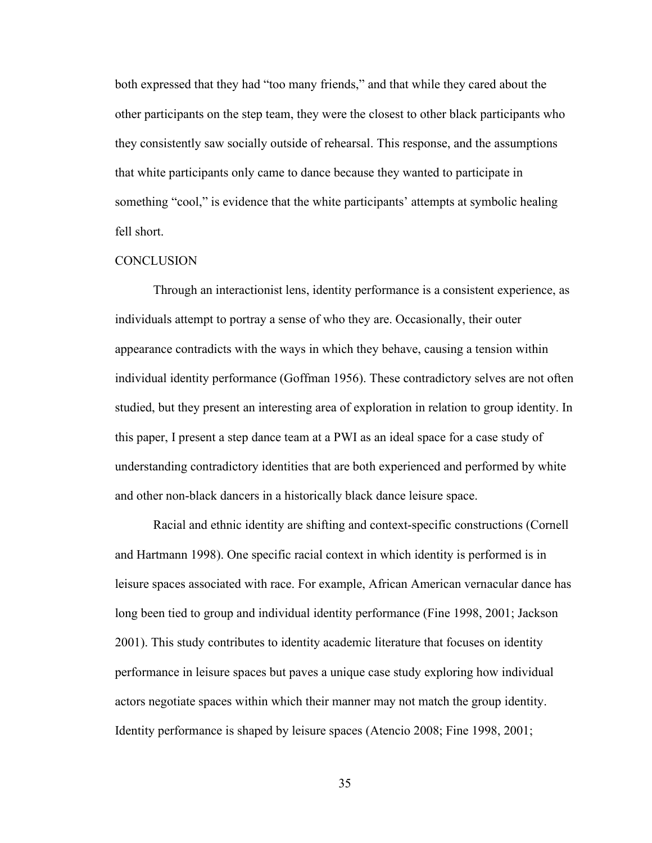both expressed that they had "too many friends," and that while they cared about the other participants on the step team, they were the closest to other black participants who they consistently saw socially outside of rehearsal. This response, and the assumptions that white participants only came to dance because they wanted to participate in something "cool," is evidence that the white participants' attempts at symbolic healing fell short.

#### **CONCLUSION**

Through an interactionist lens, identity performance is a consistent experience, as individuals attempt to portray a sense of who they are. Occasionally, their outer appearance contradicts with the ways in which they behave, causing a tension within individual identity performance (Goffman 1956). These contradictory selves are not often studied, but they present an interesting area of exploration in relation to group identity. In this paper, I present a step dance team at a PWI as an ideal space for a case study of understanding contradictory identities that are both experienced and performed by white and other non-black dancers in a historically black dance leisure space.

Racial and ethnic identity are shifting and context-specific constructions (Cornell and Hartmann 1998). One specific racial context in which identity is performed is in leisure spaces associated with race. For example, African American vernacular dance has long been tied to group and individual identity performance (Fine 1998, 2001; Jackson 2001). This study contributes to identity academic literature that focuses on identity performance in leisure spaces but paves a unique case study exploring how individual actors negotiate spaces within which their manner may not match the group identity. Identity performance is shaped by leisure spaces (Atencio 2008; Fine 1998, 2001;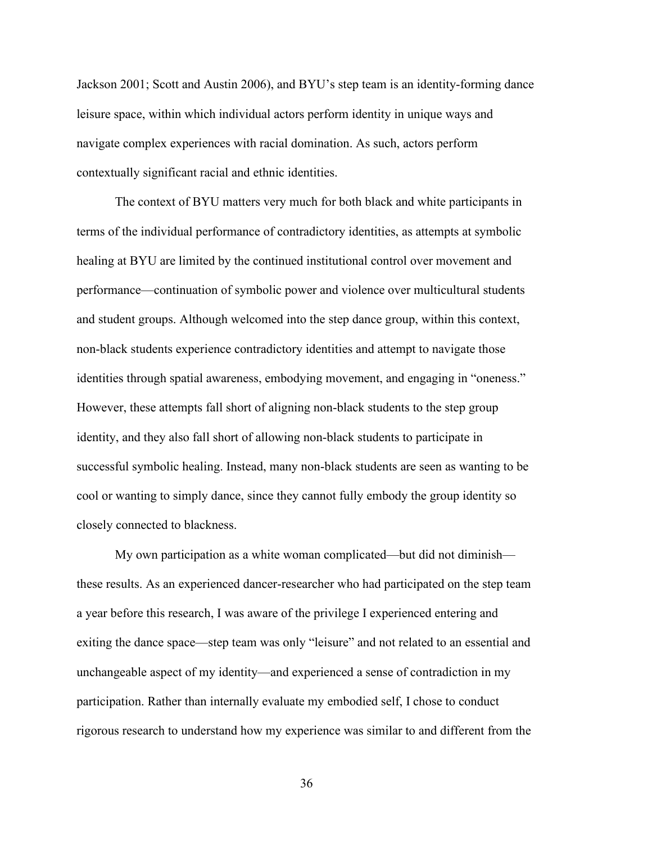Jackson 2001; Scott and Austin 2006), and BYU's step team is an identity-forming dance leisure space, within which individual actors perform identity in unique ways and navigate complex experiences with racial domination. As such, actors perform contextually significant racial and ethnic identities.

The context of BYU matters very much for both black and white participants in terms of the individual performance of contradictory identities, as attempts at symbolic healing at BYU are limited by the continued institutional control over movement and performance—continuation of symbolic power and violence over multicultural students and student groups. Although welcomed into the step dance group, within this context, non-black students experience contradictory identities and attempt to navigate those identities through spatial awareness, embodying movement, and engaging in "oneness." However, these attempts fall short of aligning non-black students to the step group identity, and they also fall short of allowing non-black students to participate in successful symbolic healing. Instead, many non-black students are seen as wanting to be cool or wanting to simply dance, since they cannot fully embody the group identity so closely connected to blackness.

My own participation as a white woman complicated—but did not diminish these results. As an experienced dancer-researcher who had participated on the step team a year before this research, I was aware of the privilege I experienced entering and exiting the dance space—step team was only "leisure" and not related to an essential and unchangeable aspect of my identity—and experienced a sense of contradiction in my participation. Rather than internally evaluate my embodied self, I chose to conduct rigorous research to understand how my experience was similar to and different from the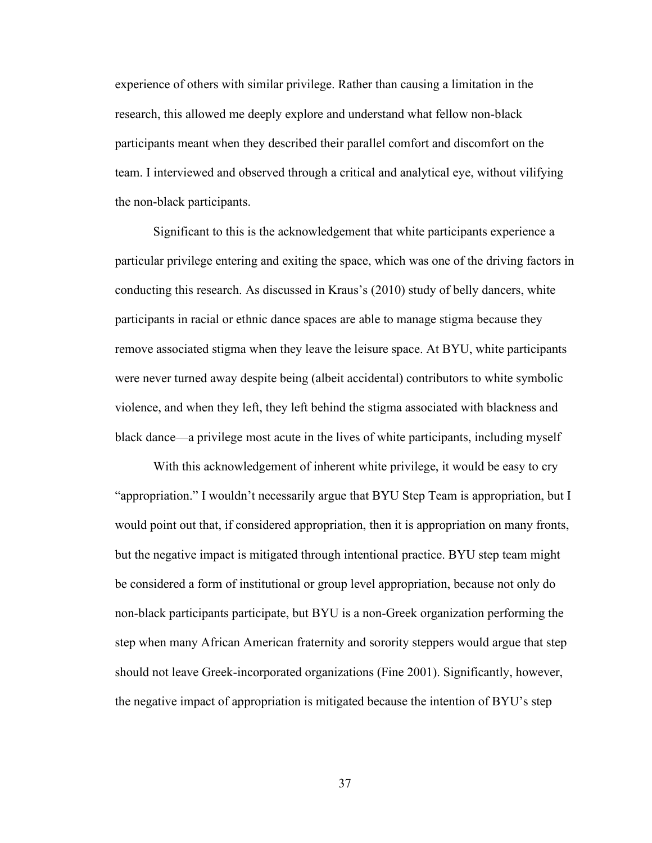experience of others with similar privilege. Rather than causing a limitation in the research, this allowed me deeply explore and understand what fellow non-black participants meant when they described their parallel comfort and discomfort on the team. I interviewed and observed through a critical and analytical eye, without vilifying the non-black participants.

Significant to this is the acknowledgement that white participants experience a particular privilege entering and exiting the space, which was one of the driving factors in conducting this research. As discussed in Kraus's (2010) study of belly dancers, white participants in racial or ethnic dance spaces are able to manage stigma because they remove associated stigma when they leave the leisure space. At BYU, white participants were never turned away despite being (albeit accidental) contributors to white symbolic violence, and when they left, they left behind the stigma associated with blackness and black dance—a privilege most acute in the lives of white participants, including myself

With this acknowledgement of inherent white privilege, it would be easy to cry "appropriation." I wouldn't necessarily argue that BYU Step Team is appropriation, but I would point out that, if considered appropriation, then it is appropriation on many fronts, but the negative impact is mitigated through intentional practice. BYU step team might be considered a form of institutional or group level appropriation, because not only do non-black participants participate, but BYU is a non-Greek organization performing the step when many African American fraternity and sorority steppers would argue that step should not leave Greek-incorporated organizations (Fine 2001). Significantly, however, the negative impact of appropriation is mitigated because the intention of BYU's step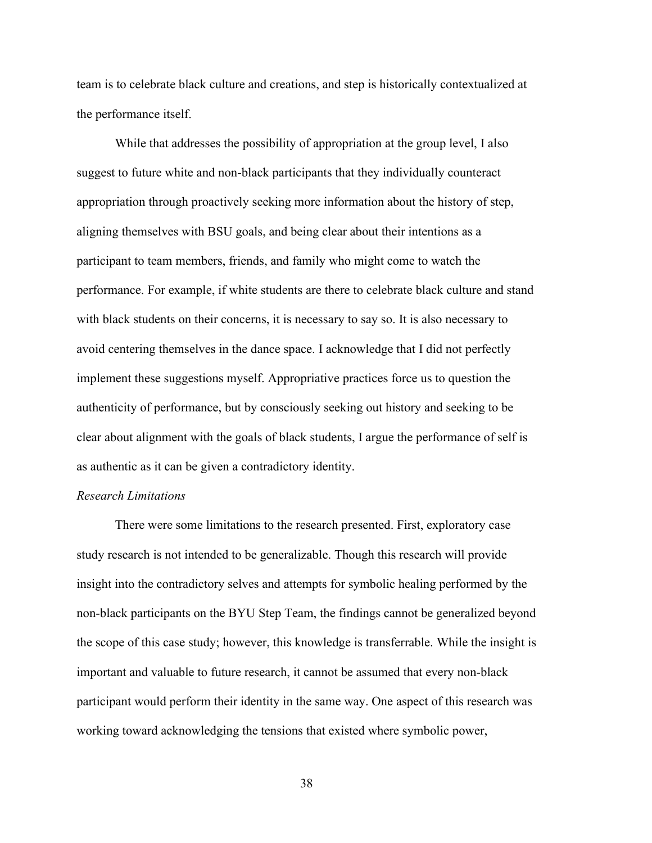team is to celebrate black culture and creations, and step is historically contextualized at the performance itself.

While that addresses the possibility of appropriation at the group level, I also suggest to future white and non-black participants that they individually counteract appropriation through proactively seeking more information about the history of step, aligning themselves with BSU goals, and being clear about their intentions as a participant to team members, friends, and family who might come to watch the performance. For example, if white students are there to celebrate black culture and stand with black students on their concerns, it is necessary to say so. It is also necessary to avoid centering themselves in the dance space. I acknowledge that I did not perfectly implement these suggestions myself. Appropriative practices force us to question the authenticity of performance, but by consciously seeking out history and seeking to be clear about alignment with the goals of black students, I argue the performance of self is as authentic as it can be given a contradictory identity.

#### *Research Limitations*

There were some limitations to the research presented. First, exploratory case study research is not intended to be generalizable. Though this research will provide insight into the contradictory selves and attempts for symbolic healing performed by the non-black participants on the BYU Step Team, the findings cannot be generalized beyond the scope of this case study; however, this knowledge is transferrable. While the insight is important and valuable to future research, it cannot be assumed that every non-black participant would perform their identity in the same way. One aspect of this research was working toward acknowledging the tensions that existed where symbolic power,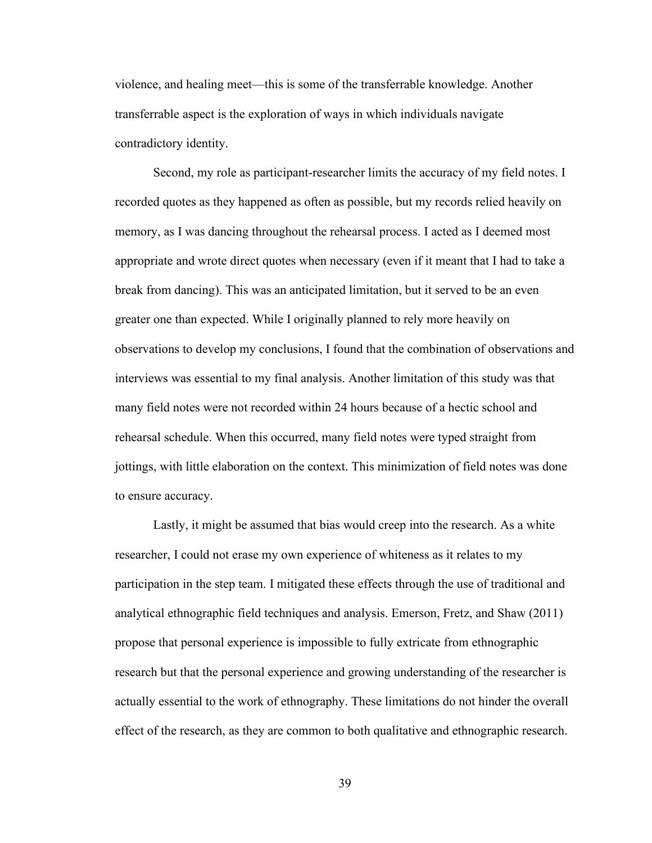violence, and healing meet—this is some of the transferrable knowledge. Another transferrable aspect is the exploration of ways in which individuals navigate contradictory identity.

Second, my role as participant-researcher limits the accuracy of my field notes. I recorded quotes as they happened as often as possible, but my records relied heavily on memory, as I was dancing throughout the rehearsal process. I acted as I deemed most appropriate and wrote direct quotes when necessary (even if it meant that I had to take a break from dancing). This was an anticipated limitation, but it served to be an even greater one than expected. While I originally planned to rely more heavily on observations to develop my conclusions, I found that the combination of observations and interviews was essential to my final analysis. Another limitation of this study was that many field notes were not recorded within 24 hours because of a hectic school and rehearsal schedule. When this occurred, many field notes were typed straight from jottings, with little elaboration on the context. This minimization of field notes was done to ensure accuracy.

Lastly, it might be assumed that bias would creep into the research. As a white researcher, I could not erase my own experience of whiteness as it relates to my participation in the step team. I mitigated these effects through the use of traditional and analytical ethnographic field techniques and analysis. Emerson, Fretz, and Shaw (2011) propose that personal experience is impossible to fully extricate from ethnographic research but that the personal experience and growing understanding of the researcher is actually essential to the work of ethnography. These limitations do not hinder the overall effect of the research, as they are common to both qualitative and ethnographic research.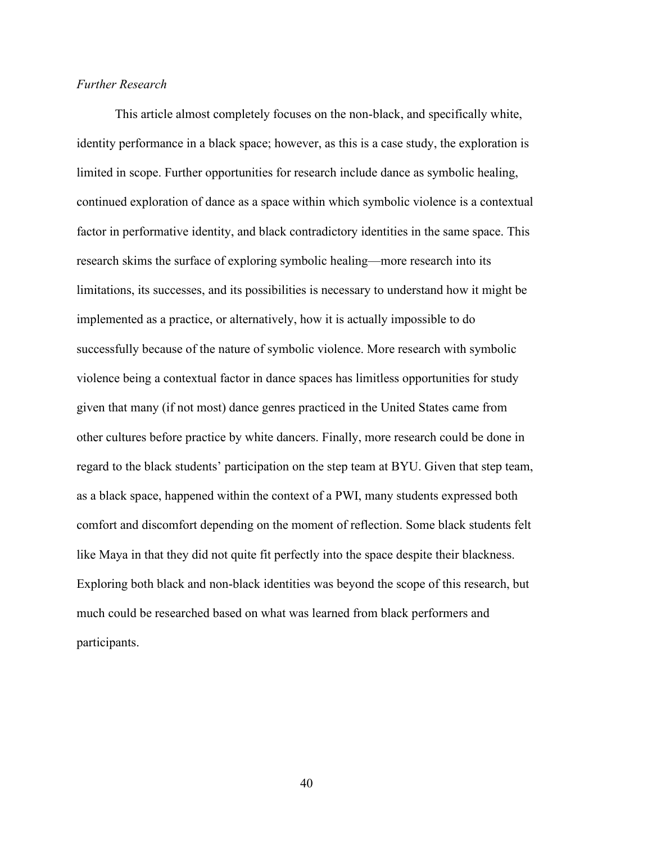#### *Further Research*

This article almost completely focuses on the non-black, and specifically white, identity performance in a black space; however, as this is a case study, the exploration is limited in scope. Further opportunities for research include dance as symbolic healing, continued exploration of dance as a space within which symbolic violence is a contextual factor in performative identity, and black contradictory identities in the same space. This research skims the surface of exploring symbolic healing—more research into its limitations, its successes, and its possibilities is necessary to understand how it might be implemented as a practice, or alternatively, how it is actually impossible to do successfully because of the nature of symbolic violence. More research with symbolic violence being a contextual factor in dance spaces has limitless opportunities for study given that many (if not most) dance genres practiced in the United States came from other cultures before practice by white dancers. Finally, more research could be done in regard to the black students' participation on the step team at BYU. Given that step team, as a black space, happened within the context of a PWI, many students expressed both comfort and discomfort depending on the moment of reflection. Some black students felt like Maya in that they did not quite fit perfectly into the space despite their blackness. Exploring both black and non-black identities was beyond the scope of this research, but much could be researched based on what was learned from black performers and participants.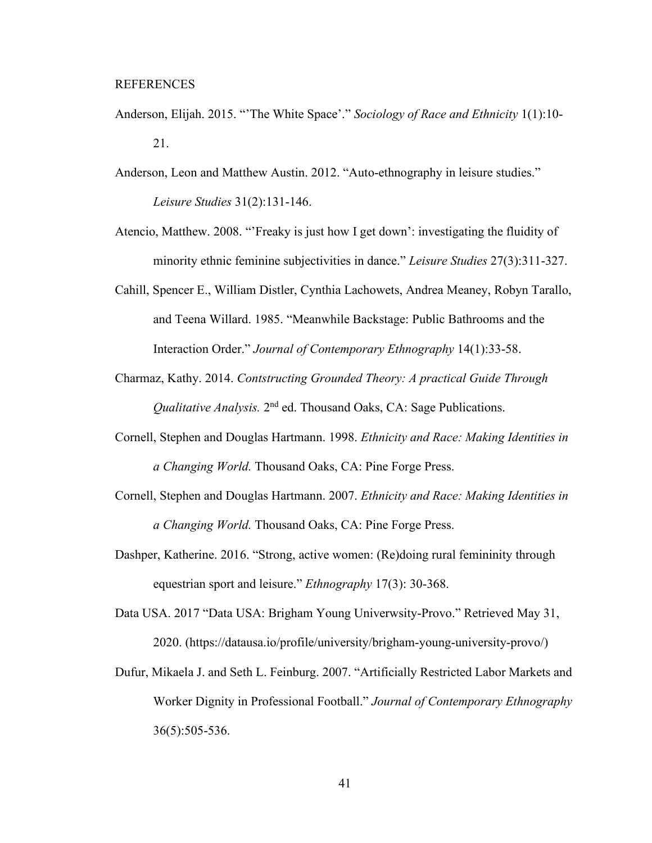#### REFERENCES

- Anderson, Elijah. 2015. "'The White Space'." *Sociology of Race and Ethnicity* 1(1):10- 21.
- Anderson, Leon and Matthew Austin. 2012. "Auto-ethnography in leisure studies." *Leisure Studies* 31(2):131-146.
- Atencio, Matthew. 2008. "'Freaky is just how I get down': investigating the fluidity of minority ethnic feminine subjectivities in dance." *Leisure Studies* 27(3):311-327.
- Cahill, Spencer E., William Distler, Cynthia Lachowets, Andrea Meaney, Robyn Tarallo, and Teena Willard. 1985. "Meanwhile Backstage: Public Bathrooms and the Interaction Order." *Journal of Contemporary Ethnography* 14(1):33-58.
- Charmaz, Kathy. 2014. *Contstructing Grounded Theory: A practical Guide Through Qualitative Analysis.* 2<sup>nd</sup> ed. Thousand Oaks, CA: Sage Publications.
- Cornell, Stephen and Douglas Hartmann. 1998. *Ethnicity and Race: Making Identities in a Changing World.* Thousand Oaks, CA: Pine Forge Press.
- Cornell, Stephen and Douglas Hartmann. 2007. *Ethnicity and Race: Making Identities in a Changing World.* Thousand Oaks, CA: Pine Forge Press.
- Dashper, Katherine. 2016. "Strong, active women: (Re)doing rural femininity through equestrian sport and leisure." *Ethnography* 17(3): 30-368.
- Data USA. 2017 "Data USA: Brigham Young Univerwsity-Provo." Retrieved May 31, 2020. [\(https://datausa.io/profile/university/brigham-young-university-provo/\)](https://datausa.io/profile/university/brigham-young-university-provo/)
- Dufur, Mikaela J. and Seth L. Feinburg. 2007. "Artificially Restricted Labor Markets and Worker Dignity in Professional Football." *Journal of Contemporary Ethnography* 36(5):505-536.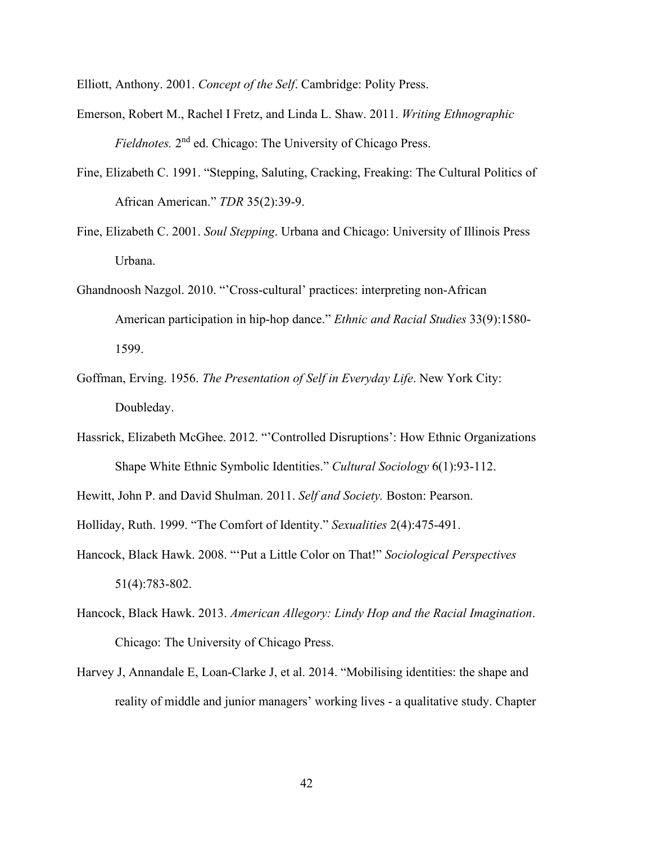Elliott, Anthony. 2001. *Concept of the Self*. Cambridge: Polity Press.

- Emerson, Robert M., Rachel I Fretz, and Linda L. Shaw. 2011. *Writing Ethnographic Fieldnotes.* 2nd ed. Chicago: The University of Chicago Press.
- Fine, Elizabeth C. 1991. "Stepping, Saluting, Cracking, Freaking: The Cultural Politics of African American." *TDR* 35(2):39-9.
- Fine, Elizabeth C. 2001. *Soul Stepping*. Urbana and Chicago: University of Illinois Press Urbana.
- Ghandnoosh Nazgol. 2010. "'Cross-cultural' practices: interpreting non-African American participation in hip-hop dance." *Ethnic and Racial Studies* 33(9):1580- 1599.
- Goffman, Erving. 1956. *The Presentation of Self in Everyday Life*. New York City: Doubleday.
- Hassrick, Elizabeth McGhee. 2012. "'Controlled Disruptions': How Ethnic Organizations Shape White Ethnic Symbolic Identities." *Cultural Sociology* 6(1):93-112.

Hewitt, John P. and David Shulman. 2011. *Self and Society.* Boston: Pearson.

Holliday, Ruth. 1999. "The Comfort of Identity." *Sexualities* 2(4):475-491.

- Hancock, Black Hawk. 2008. "'Put a Little Color on That!" *Sociological Perspectives* 51(4):783-802.
- Hancock, Black Hawk. 2013. *American Allegory: Lindy Hop and the Racial Imagination*. Chicago: The University of Chicago Press.
- Harvey J, Annandale E, Loan-Clarke J, et al. 2014. "Mobilising identities: the shape and reality of middle and junior managers' working lives - a qualitative study. Chapter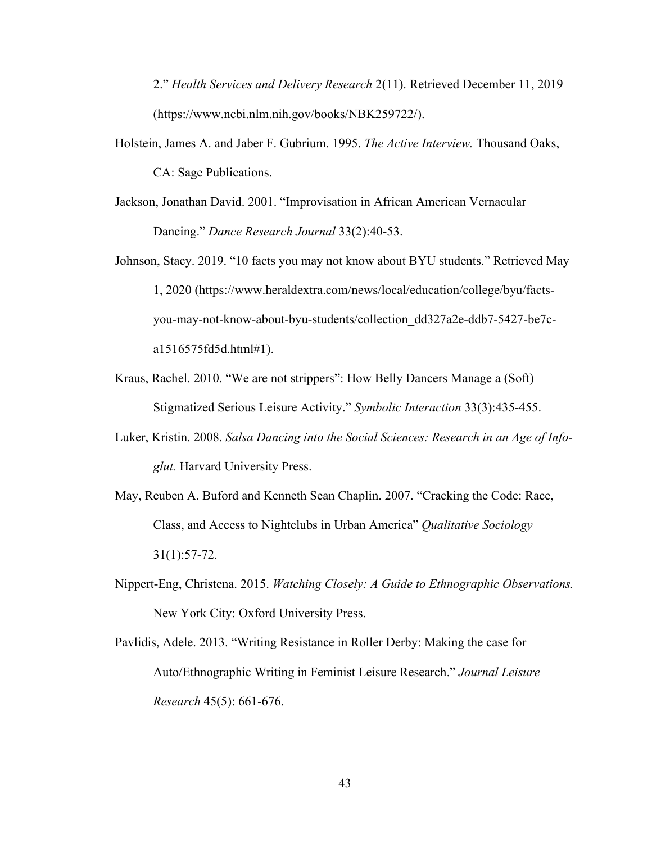2." *Health Services and Delivery Research* 2(11). Retrieved December 11, 2019 [\(https://www.ncbi.nlm.nih.gov/books/NBK259722/\)](https://www.ncbi.nlm.nih.gov/books/NBK259722/).

- Holstein, James A. and Jaber F. Gubrium. 1995. *The Active Interview.* Thousand Oaks, CA: Sage Publications.
- Jackson, Jonathan David. 2001. "Improvisation in African American Vernacular Dancing." *Dance Research Journal* 33(2):40-53.
- Johnson, Stacy. 2019. "10 facts you may not know about BYU students." Retrieved May 1, 2020 [\(https://www.heraldextra.com/news/local/education/college/byu/facts](https://www.heraldextra.com/news/local/education/college/byu/facts-you-may-not-know-about-byu-students/collection_dd327a2e-ddb7-5427-be7c-a1516575fd5d.html#1)[you-may-not-know-about-byu-students/collection\\_dd327a2e-ddb7-5427-be7c](https://www.heraldextra.com/news/local/education/college/byu/facts-you-may-not-know-about-byu-students/collection_dd327a2e-ddb7-5427-be7c-a1516575fd5d.html#1)[a1516575fd5d.html#1\)](https://www.heraldextra.com/news/local/education/college/byu/facts-you-may-not-know-about-byu-students/collection_dd327a2e-ddb7-5427-be7c-a1516575fd5d.html#1).
- Kraus, Rachel. 2010. "We are not strippers": How Belly Dancers Manage a (Soft) Stigmatized Serious Leisure Activity." *Symbolic Interaction* 33(3):435-455.
- Luker, Kristin. 2008. *Salsa Dancing into the Social Sciences: Research in an Age of Infoglut.* Harvard University Press.
- May, Reuben A. Buford and Kenneth Sean Chaplin. 2007. "Cracking the Code: Race, Class, and Access to Nightclubs in Urban America" *Qualitative Sociology*  31(1):57-72.
- Nippert-Eng, Christena. 2015. *Watching Closely: A Guide to Ethnographic Observations.*  New York City: Oxford University Press.
- Pavlidis, Adele. 2013. "Writing Resistance in Roller Derby: Making the case for Auto/Ethnographic Writing in Feminist Leisure Research." *Journal Leisure Research* 45(5): 661-676.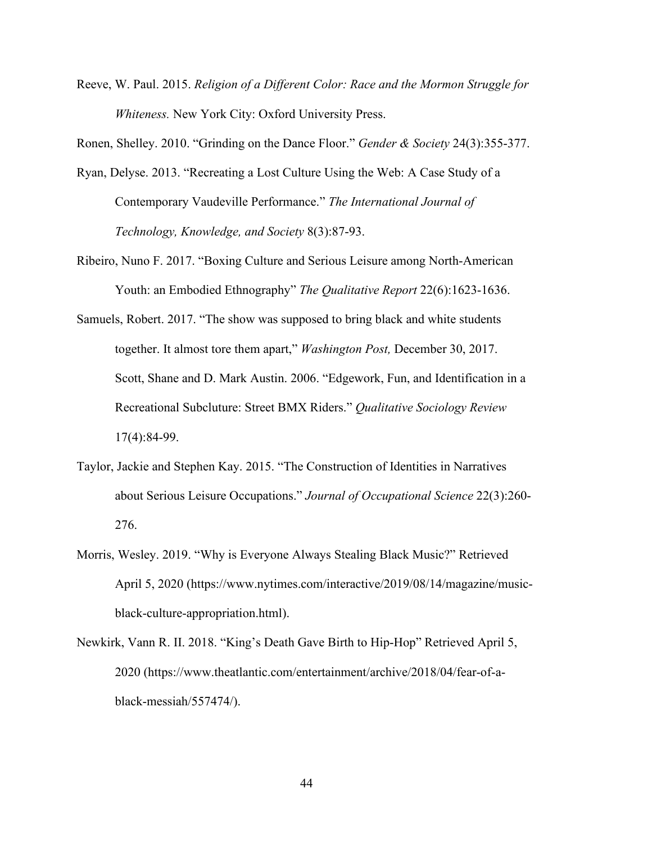Reeve, W. Paul. 2015. *Religion of a Different Color: Race and the Mormon Struggle for Whiteness.* New York City: Oxford University Press.

Ronen, Shelley. 2010. "Grinding on the Dance Floor." *Gender & Society* 24(3):355-377.

- Ryan, Delyse. 2013. "Recreating a Lost Culture Using the Web: A Case Study of a Contemporary Vaudeville Performance." *The International Journal of Technology, Knowledge, and Society* 8(3):87-93.
- Ribeiro, Nuno F. 2017. "Boxing Culture and Serious Leisure among North-American Youth: an Embodied Ethnography" *The Qualitative Report* 22(6):1623-1636.
- Samuels, Robert. 2017. "The show was supposed to bring black and white students together. It almost tore them apart," *Washington Post,* December 30, 2017. Scott, Shane and D. Mark Austin. 2006. "Edgework, Fun, and Identification in a Recreational Subcluture: Street BMX Riders." *Qualitative Sociology Review*  17(4):84-99.
- Taylor, Jackie and Stephen Kay. 2015. "The Construction of Identities in Narratives about Serious Leisure Occupations." *Journal of Occupational Science* 22(3):260- 276.
- Morris, Wesley. 2019. "Why is Everyone Always Stealing Black Music?" Retrieved April 5, 2020 [\(https://www.nytimes.com/interactive/2019/08/14/magazine/music](https://www.nytimes.com/interactive/2019/08/14/magazine/music-black-culture-appropriation.html?mtrref=www.google.com&gwh=EB5D44B3DC676BD89ACF623DD9AD0545&gwt=pay&assetType=PAYWALL)[black-culture-appropriation.html](https://www.nytimes.com/interactive/2019/08/14/magazine/music-black-culture-appropriation.html?mtrref=www.google.com&gwh=EB5D44B3DC676BD89ACF623DD9AD0545&gwt=pay&assetType=PAYWALL)).
- Newkirk, Vann R. II. 2018. "King's Death Gave Birth to Hip-Hop" Retrieved April 5, 2020 [\(https://www.theatlantic.com/entertainment/archive/2018/04/fear-of-a](https://www.theatlantic.com/entertainment/archive/2018/04/fear-of-a-black-messiah/557474/)[black-messiah/557474/\)](https://www.theatlantic.com/entertainment/archive/2018/04/fear-of-a-black-messiah/557474/).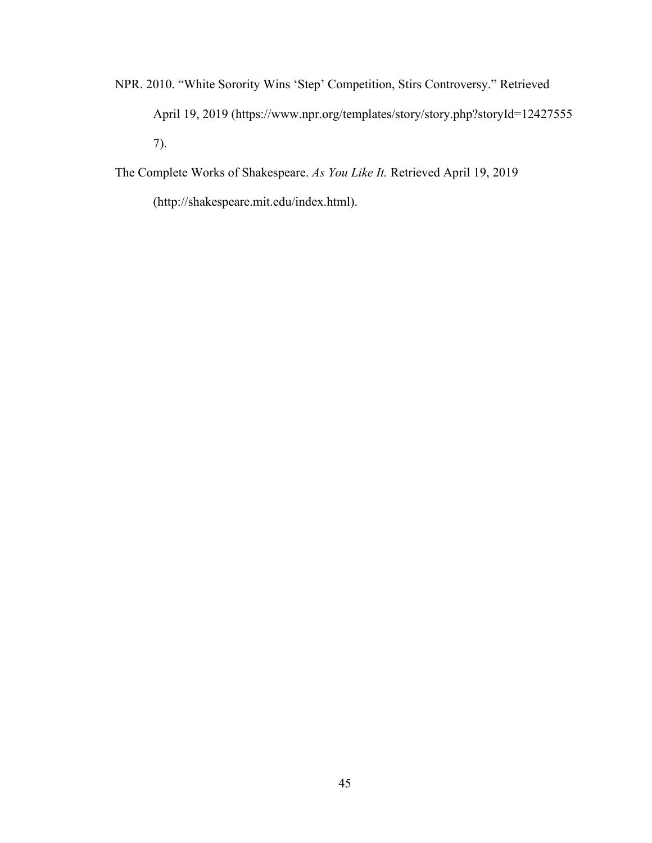NPR. 2010. "White Sorority Wins 'Step' Competition, Stirs Controversy." Retrieved April 19, 2019 [\(https://www.npr.org/templates/story/story.php?storyId=12427555](https://www.npr.org/templates/story/story.php?storyId=12427555) 7).

The Complete Works of Shakespeare. *As You Like It.* Retrieved April 19, 2019

[\(http://shakespeare.mit.edu/index.html\)](http://shakespeare.mit.edu/index.html).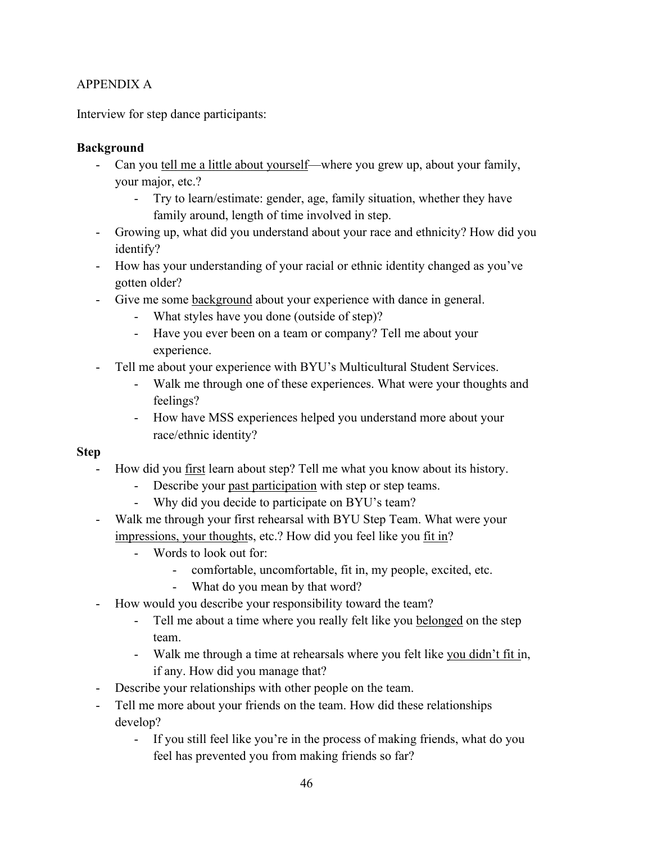# APPENDIX A

Interview for step dance participants:

# **Background**

- Can you tell me a little about yourself—where you grew up, about your family, your major, etc.?
	- Try to learn/estimate: gender, age, family situation, whether they have family around, length of time involved in step.
- Growing up, what did you understand about your race and ethnicity? How did you identify?
- How has your understanding of your racial or ethnic identity changed as you've gotten older?
- Give me some background about your experience with dance in general.
	- What styles have you done (outside of step)?
	- Have you ever been on a team or company? Tell me about your experience.
- Tell me about your experience with BYU's Multicultural Student Services.
	- Walk me through one of these experiences. What were your thoughts and feelings?
	- How have MSS experiences helped you understand more about your race/ethnic identity?

# **Step**

- How did you first learn about step? Tell me what you know about its history.
	- Describe your past participation with step or step teams.
	- Why did you decide to participate on BYU's team?
- Walk me through your first rehearsal with BYU Step Team. What were your impressions, your thoughts, etc.? How did you feel like you fit in?
	- Words to look out for:
		- comfortable, uncomfortable, fit in, my people, excited, etc.
		- What do you mean by that word?
- How would you describe your responsibility toward the team?
	- Tell me about a time where you really felt like you belonged on the step team.
	- Walk me through a time at rehearsals where you felt like you didn't fit in, if any. How did you manage that?
- Describe your relationships with other people on the team.
- Tell me more about your friends on the team. How did these relationships develop?
	- If you still feel like you're in the process of making friends, what do you feel has prevented you from making friends so far?